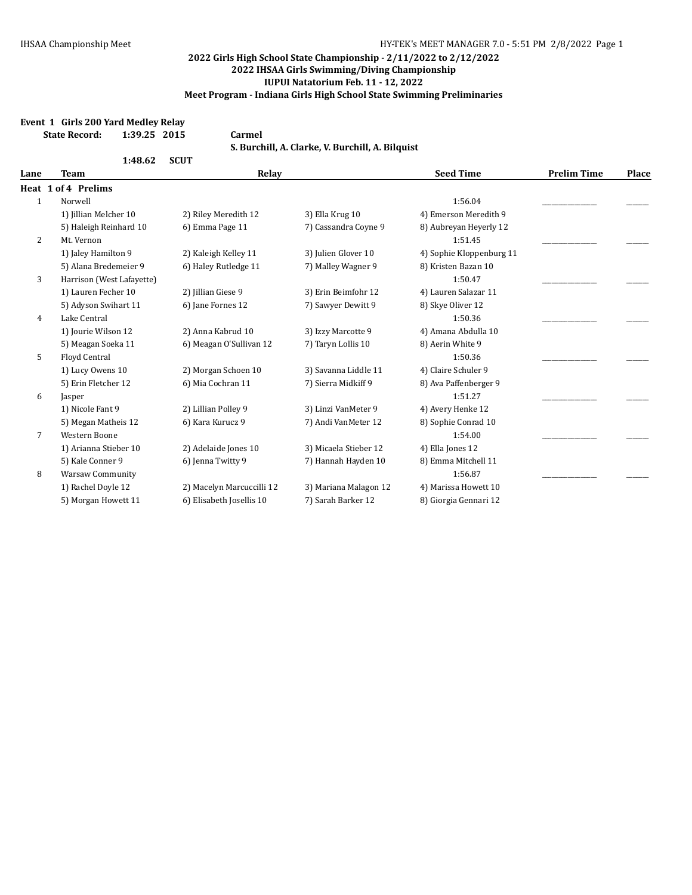#### **Event 1 Girls 200 Yard Medley Relay**

| <b>State Record:</b> | 1:39.25 2015 |  | Carmel   |
|----------------------|--------------|--|----------|
|                      |              |  | S. Burcl |

**S. Burchill, A. Clarke, V. Burchill, A. Bilquist**

|      | 1:48.62                   | <b>SCUT</b>               |                       |                          |                    |       |
|------|---------------------------|---------------------------|-----------------------|--------------------------|--------------------|-------|
| Lane | Team                      | Relay                     |                       | <b>Seed Time</b>         | <b>Prelim Time</b> | Place |
|      | Heat 1 of 4 Prelims       |                           |                       |                          |                    |       |
| 1    | Norwell                   |                           |                       | 1:56.04                  |                    |       |
|      | 1) Jillian Melcher 10     | 2) Riley Meredith 12      | 3) Ella Krug 10       | 4) Emerson Meredith 9    |                    |       |
|      | 5) Haleigh Reinhard 10    | 6) Emma Page 11           | 7) Cassandra Coyne 9  | 8) Aubreyan Heyerly 12   |                    |       |
| 2    | Mt. Vernon                |                           |                       | 1:51.45                  |                    |       |
|      | 1) Jaley Hamilton 9       | 2) Kaleigh Kelley 11      | 3) Julien Glover 10   | 4) Sophie Kloppenburg 11 |                    |       |
|      | 5) Alana Bredemeier 9     | 6) Haley Rutledge 11      | 7) Malley Wagner 9    | 8) Kristen Bazan 10      |                    |       |
| 3    | Harrison (West Lafayette) |                           |                       | 1:50.47                  |                    |       |
|      | 1) Lauren Fecher 10       | 2) Jillian Giese 9        | 3) Erin Beimfohr 12   | 4) Lauren Salazar 11     |                    |       |
|      | 5) Adyson Swihart 11      | 6) Jane Fornes 12         | 7) Sawyer Dewitt 9    | 8) Skye Oliver 12        |                    |       |
| 4    | Lake Central              |                           |                       | 1:50.36                  |                    |       |
|      | 1) Jourie Wilson 12       | 2) Anna Kabrud 10         | 3) Izzy Marcotte 9    | 4) Amana Abdulla 10      |                    |       |
|      | 5) Meagan Soeka 11        | 6) Meagan O'Sullivan 12   | 7) Taryn Lollis 10    | 8) Aerin White 9         |                    |       |
| 5    | Floyd Central             |                           |                       | 1:50.36                  |                    |       |
|      | 1) Lucy Owens 10          | 2) Morgan Schoen 10       | 3) Savanna Liddle 11  | 4) Claire Schuler 9      |                    |       |
|      | 5) Erin Fletcher 12       | 6) Mia Cochran 11         | 7) Sierra Midkiff 9   | 8) Ava Paffenberger 9    |                    |       |
| 6    | Jasper                    |                           |                       | 1:51.27                  |                    |       |
|      | 1) Nicole Fant 9          | 2) Lillian Polley 9       | 3) Linzi VanMeter 9   | 4) Avery Henke 12        |                    |       |
|      | 5) Megan Matheis 12       | 6) Kara Kurucz 9          | 7) Andi VanMeter 12   | 8) Sophie Conrad 10      |                    |       |
| 7    | Western Boone             |                           |                       | 1:54.00                  |                    |       |
|      | 1) Arianna Stieber 10     | 2) Adelaide Jones 10      | 3) Micaela Stieber 12 | 4) Ella Jones 12         |                    |       |
|      | 5) Kale Conner 9          | 6) Jenna Twitty 9         | 7) Hannah Hayden 10   | 8) Emma Mitchell 11      |                    |       |
| 8    | <b>Warsaw Community</b>   |                           |                       | 1:56.87                  |                    |       |
|      | 1) Rachel Doyle 12        | 2) Macelyn Marcuccilli 12 | 3) Mariana Malagon 12 | 4) Marissa Howett 10     |                    |       |
|      | 5) Morgan Howett 11       | 6) Elisabeth Josellis 10  | 7) Sarah Barker 12    | 8) Giorgia Gennari 12    |                    |       |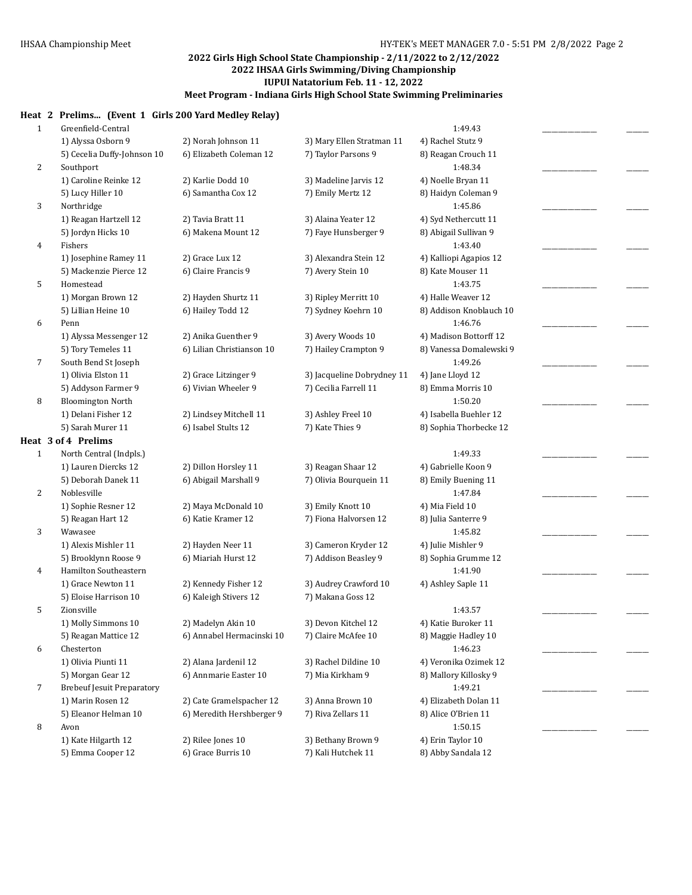#### **Heat 2 Prelims... (Event 1 Girls 200 Yard Medley Relay)**

| $\mathbf{1}$ | Greenfield-Central                |                           |                            | 1:49.43                 |  |
|--------------|-----------------------------------|---------------------------|----------------------------|-------------------------|--|
|              | 1) Alyssa Osborn 9                | 2) Norah Johnson 11       | 3) Mary Ellen Stratman 11  | 4) Rachel Stutz 9       |  |
|              | 5) Cecelia Duffy-Johnson 10       | 6) Elizabeth Coleman 12   | 7) Taylor Parsons 9        | 8) Reagan Crouch 11     |  |
| 2            | Southport                         |                           |                            | 1:48.34                 |  |
|              | 1) Caroline Reinke 12             | 2) Karlie Dodd 10         | 3) Madeline Jarvis 12      | 4) Noelle Bryan 11      |  |
|              | 5) Lucy Hiller 10                 | 6) Samantha Cox 12        | 7) Emily Mertz 12          | 8) Haidyn Coleman 9     |  |
| 3            | Northridge                        |                           |                            | 1:45.86                 |  |
|              | 1) Reagan Hartzell 12             | 2) Tavia Bratt 11         | 3) Alaina Yeater 12        | 4) Syd Nethercutt 11    |  |
|              | 5) Jordyn Hicks 10                | 6) Makena Mount 12        | 7) Faye Hunsberger 9       | 8) Abigail Sullivan 9   |  |
| 4            | Fishers                           |                           |                            | 1:43.40                 |  |
|              | 1) Josephine Ramey 11             | 2) Grace Lux 12           | 3) Alexandra Stein 12      | 4) Kalliopi Agapios 12  |  |
|              | 5) Mackenzie Pierce 12            | 6) Claire Francis 9       | 7) Avery Stein 10          | 8) Kate Mouser 11       |  |
| 5            | Homestead                         |                           |                            | 1:43.75                 |  |
|              | 1) Morgan Brown 12                | 2) Hayden Shurtz 11       | 3) Ripley Merritt 10       | 4) Halle Weaver 12      |  |
|              | 5) Lillian Heine 10               | 6) Hailey Todd 12         | 7) Sydney Koehrn 10        | 8) Addison Knoblauch 10 |  |
| 6            | Penn                              |                           |                            | 1:46.76                 |  |
|              | 1) Alyssa Messenger 12            | 2) Anika Guenther 9       | 3) Avery Woods 10          | 4) Madison Bottorff 12  |  |
|              | 5) Tory Temeles 11                | 6) Lilian Christianson 10 | 7) Hailey Crampton 9       | 8) Vanessa Domalewski 9 |  |
| 7            | South Bend St Joseph              |                           |                            | 1:49.26                 |  |
|              | 1) Olivia Elston 11               | 2) Grace Litzinger 9      | 3) Jacqueline Dobrydney 11 | 4) Jane Lloyd 12        |  |
|              | 5) Addyson Farmer 9               | 6) Vivian Wheeler 9       | 7) Cecilia Farrell 11      | 8) Emma Morris 10       |  |
| 8            | <b>Bloomington North</b>          |                           |                            | 1:50.20                 |  |
|              | 1) Delani Fisher 12               | 2) Lindsey Mitchell 11    | 3) Ashley Freel 10         | 4) Isabella Buehler 12  |  |
|              | 5) Sarah Murer 11                 | 6) Isabel Stults 12       | 7) Kate Thies 9            | 8) Sophia Thorbecke 12  |  |
|              | Heat 3 of 4 Prelims               |                           |                            |                         |  |
| $\mathbf{1}$ | North Central (Indpls.)           |                           |                            | 1:49.33                 |  |
|              | 1) Lauren Diercks 12              | 2) Dillon Horsley 11      | 3) Reagan Shaar 12         | 4) Gabrielle Koon 9     |  |
|              | 5) Deborah Danek 11               | 6) Abigail Marshall 9     | 7) Olivia Bourquein 11     | 8) Emily Buening 11     |  |
| 2            | Noblesville                       |                           |                            | 1:47.84                 |  |
|              | 1) Sophie Resner 12               | 2) Maya McDonald 10       | 3) Emily Knott 10          | 4) Mia Field 10         |  |
|              | 5) Reagan Hart 12                 | 6) Katie Kramer 12        | 7) Fiona Halvorsen 12      | 8) Julia Santerre 9     |  |
| 3            | Wawasee                           |                           |                            | 1:45.82                 |  |
|              | 1) Alexis Mishler 11              | 2) Hayden Neer 11         | 3) Cameron Kryder 12       | 4) Julie Mishler 9      |  |
|              | 5) Brooklynn Roose 9              | 6) Miariah Hurst 12       | 7) Addison Beasley 9       | 8) Sophia Grumme 12     |  |
| 4            | Hamilton Southeastern             |                           |                            | 1:41.90                 |  |
|              | 1) Grace Newton 11                | 2) Kennedy Fisher 12      | 3) Audrey Crawford 10      | 4) Ashley Saple 11      |  |
|              | 5) Eloise Harrison 10             | 6) Kaleigh Stivers 12     | 7) Makana Goss 12          |                         |  |
| 5            | Zionsville                        |                           |                            | 1:43.57                 |  |
|              | 1) Molly Simmons 10               | 2) Madelyn Akin 10        | 3) Devon Kitchel 12        | 4) Katie Buroker 11     |  |
|              | 5) Reagan Mattice 12              | 6) Annabel Hermacinski 10 | 7) Claire McAfee 10        | 8) Maggie Hadley 10     |  |
| 6            | Chesterton                        |                           |                            | 1:46.23                 |  |
|              | 1) Olivia Piunti 11               | 2) Alana Jardenil 12      | 3) Rachel Dildine 10       | 4) Veronika Ozimek 12   |  |
|              | 5) Morgan Gear 12                 | 6) Annmarie Easter 10     | 7) Mia Kirkham 9           | 8) Mallory Killosky 9   |  |
| 7            | <b>Brebeuf Jesuit Preparatory</b> |                           |                            | 1:49.21                 |  |
|              | 1) Marin Rosen 12                 | 2) Cate Gramelspacher 12  | 3) Anna Brown 10           | 4) Elizabeth Dolan 11   |  |
|              | 5) Eleanor Helman 10              | 6) Meredith Hershberger 9 | 7) Riva Zellars 11         | 8) Alice O'Brien 11     |  |
| 8            | Avon                              |                           |                            | 1:50.15                 |  |
|              | 1) Kate Hilgarth 12               | 2) Rilee Jones 10         | 3) Bethany Brown 9         | 4) Erin Taylor 10       |  |
|              | 5) Emma Cooper 12                 | 6) Grace Burris 10        | 7) Kali Hutchek 11         | 8) Abby Sandala 12      |  |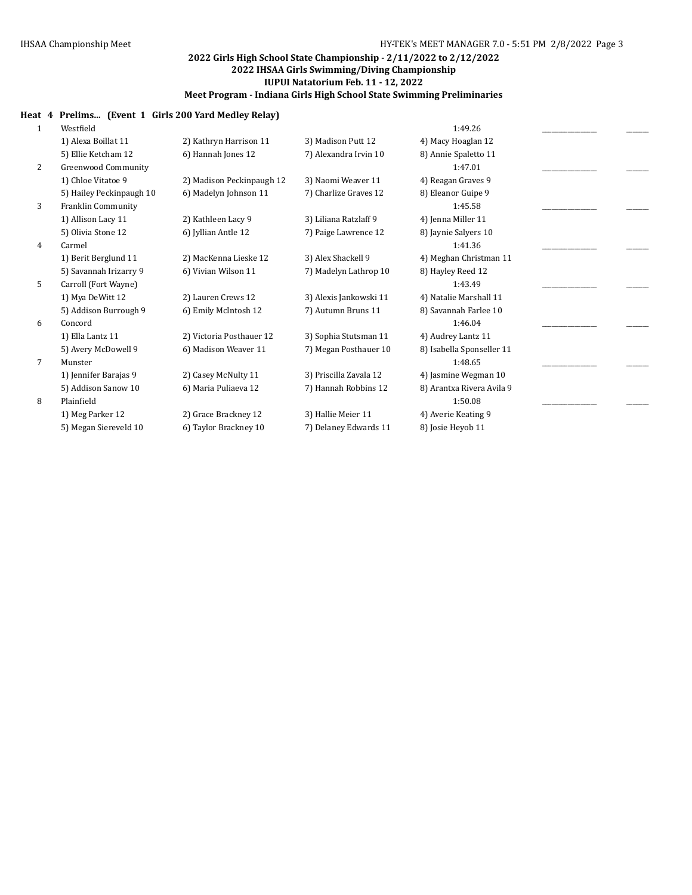## **Heat 4 Prelims... (Event 1 Girls 200 Yard Medley Relay)**

| 1              | Westfield                  |                           |                        | 1:49.26                   |  |
|----------------|----------------------------|---------------------------|------------------------|---------------------------|--|
|                | 1) Alexa Boillat 11        | 2) Kathryn Harrison 11    | 3) Madison Putt 12     | 4) Macy Hoaglan 12        |  |
|                | 5) Ellie Ketcham 12        | 6) Hannah Jones 12        | 7) Alexandra Irvin 10  | 8) Annie Spaletto 11      |  |
| $\overline{2}$ | <b>Greenwood Community</b> |                           |                        | 1:47.01                   |  |
|                | 1) Chloe Vitatoe 9         | 2) Madison Peckinpaugh 12 | 3) Naomi Weaver 11     | 4) Reagan Graves 9        |  |
|                | 5) Hailey Peckinpaugh 10   | 6) Madelyn Johnson 11     | 7) Charlize Graves 12  | 8) Eleanor Guipe 9        |  |
| 3              | Franklin Community         |                           |                        | 1:45.58                   |  |
|                | 1) Allison Lacy 11         | 2) Kathleen Lacy 9        | 3) Liliana Ratzlaff 9  | 4) Jenna Miller 11        |  |
|                | 5) Olivia Stone 12         | 6) Iyllian Antle 12       | 7) Paige Lawrence 12   | 8) Jaynie Salyers 10      |  |
| 4              | Carmel                     |                           |                        | 1:41.36                   |  |
|                | 1) Berit Berglund 11       | 2) MacKenna Lieske 12     | 3) Alex Shackell 9     | 4) Meghan Christman 11    |  |
|                | 5) Savannah Irizarry 9     | 6) Vivian Wilson 11       | 7) Madelyn Lathrop 10  | 8) Hayley Reed 12         |  |
| 5              | Carroll (Fort Wayne)       |                           |                        | 1:43.49                   |  |
|                | 1) Mya DeWitt 12           | 2) Lauren Crews 12        | 3) Alexis Jankowski 11 | 4) Natalie Marshall 11    |  |
|                | 5) Addison Burrough 9      | 6) Emily McIntosh 12      | 7) Autumn Bruns 11     | 8) Savannah Farlee 10     |  |
| 6              | Concord                    |                           |                        | 1:46.04                   |  |
|                | 1) Ella Lantz 11           | 2) Victoria Posthauer 12  | 3) Sophia Stutsman 11  | 4) Audrey Lantz 11        |  |
|                | 5) Avery McDowell 9        | 6) Madison Weaver 11      | 7) Megan Posthauer 10  | 8) Isabella Sponseller 11 |  |
| 7              | Munster                    |                           |                        | 1:48.65                   |  |
|                | 1) Jennifer Barajas 9      | 2) Casey McNulty 11       | 3) Priscilla Zavala 12 | 4) Jasmine Wegman 10      |  |
|                | 5) Addison Sanow 10        | 6) Maria Puliaeva 12      | 7) Hannah Robbins 12   | 8) Arantxa Rivera Avila 9 |  |
| 8              | Plainfield                 |                           |                        | 1:50.08                   |  |
|                | 1) Meg Parker 12           | 2) Grace Brackney 12      | 3) Hallie Meier 11     | 4) Averie Keating 9       |  |
|                | 5) Megan Siereveld 10      | 6) Taylor Brackney 10     | 7) Delaney Edwards 11  | 8) Josie Heyob 11         |  |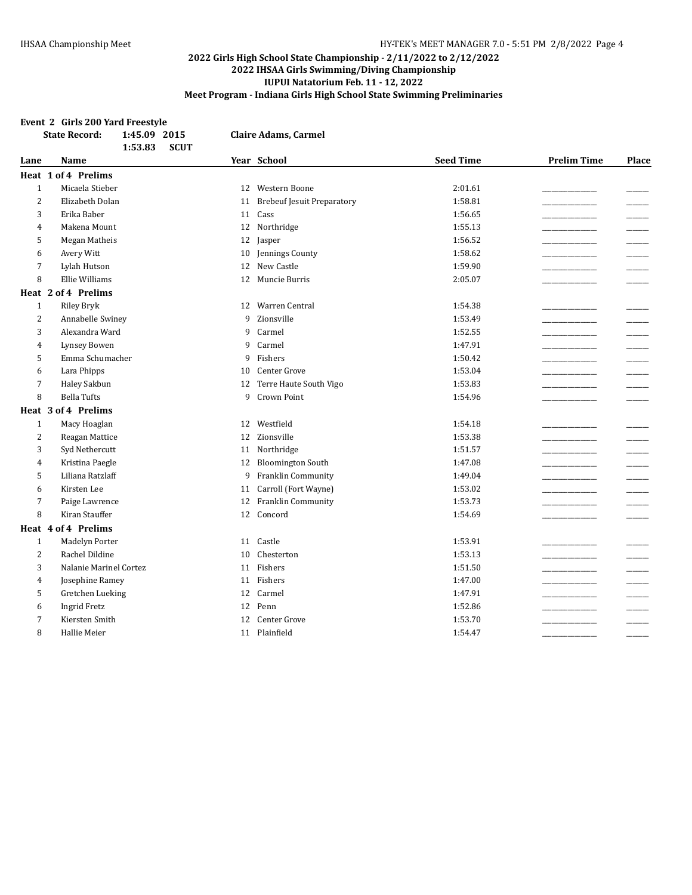#### **Event 2 Girls 200 Yard Freestyle**

|                | 1:45.09 2015<br><b>State Record:</b><br><b>SCUT</b><br>1:53.83 |    | <b>Claire Adams, Carmel</b>       |                  |                    |                          |
|----------------|----------------------------------------------------------------|----|-----------------------------------|------------------|--------------------|--------------------------|
| Lane           | <b>Name</b>                                                    |    | Year School                       | <b>Seed Time</b> | <b>Prelim Time</b> | Place                    |
|                | Heat 1 of 4 Prelims                                            |    |                                   |                  |                    |                          |
| $1\,$          | Micaela Stieber                                                |    | 12 Western Boone                  | 2:01.61          |                    |                          |
| $\overline{2}$ | Elizabeth Dolan                                                | 11 | <b>Brebeuf Jesuit Preparatory</b> | 1:58.81          |                    |                          |
| 3              | Erika Baber                                                    |    | 11 Cass                           | 1:56.65          |                    |                          |
| $\overline{4}$ | Makena Mount                                                   | 12 | Northridge                        | 1:55.13          |                    | $\overline{\phantom{a}}$ |
| 5              | Megan Matheis                                                  | 12 | Jasper                            | 1:56.52          |                    | $\overline{\phantom{a}}$ |
| 6              | Avery Witt                                                     | 10 | Jennings County                   | 1:58.62          |                    |                          |
| 7              | Lylah Hutson                                                   | 12 | New Castle                        | 1:59.90          |                    |                          |
| 8              | Ellie Williams                                                 | 12 | Muncie Burris                     | 2:05.07          |                    |                          |
|                | Heat 2 of 4 Prelims                                            |    |                                   |                  |                    |                          |
| $\mathbf{1}$   | <b>Riley Bryk</b>                                              | 12 | Warren Central                    | 1:54.38          |                    |                          |
| $\overline{2}$ | Annabelle Swiney                                               | 9  | Zionsville                        | 1:53.49          |                    |                          |
| 3              | Alexandra Ward                                                 | 9  | Carmel                            | 1:52.55          |                    |                          |
| $\overline{4}$ | Lynsey Bowen                                                   | 9  | Carmel                            | 1:47.91          |                    |                          |
| 5              | Emma Schumacher                                                | 9  | Fishers                           | 1:50.42          |                    |                          |
| 6              | Lara Phipps                                                    | 10 | Center Grove                      | 1:53.04          |                    |                          |
| 7              | Haley Sakbun                                                   | 12 | Terre Haute South Vigo            | 1:53.83          |                    |                          |
| 8              | <b>Bella Tufts</b>                                             | 9  | Crown Point                       | 1:54.96          |                    |                          |
|                | Heat 3 of 4 Prelims                                            |    |                                   |                  |                    |                          |
| $\mathbf{1}$   | Macy Hoaglan                                                   | 12 | Westfield                         | 1:54.18          |                    |                          |
| $\overline{2}$ | Reagan Mattice                                                 | 12 | Zionsville                        | 1:53.38          |                    |                          |
| 3              | Syd Nethercutt                                                 | 11 | Northridge                        | 1:51.57          |                    |                          |
| $\overline{4}$ | Kristina Paegle                                                | 12 | <b>Bloomington South</b>          | 1:47.08          |                    |                          |
| 5              | Liliana Ratzlaff                                               | 9  | Franklin Community                | 1:49.04          |                    |                          |
| 6              | Kirsten Lee                                                    | 11 | Carroll (Fort Wayne)              | 1:53.02          |                    |                          |
| 7              | Paige Lawrence                                                 | 12 | Franklin Community                | 1:53.73          |                    |                          |
| 8              | Kiran Stauffer                                                 | 12 | Concord                           | 1:54.69          |                    |                          |
|                | Heat 4 of 4 Prelims                                            |    |                                   |                  |                    |                          |
| $\mathbf{1}$   | Madelyn Porter                                                 | 11 | Castle                            | 1:53.91          |                    |                          |
| 2              | Rachel Dildine                                                 | 10 | Chesterton                        | 1:53.13          |                    |                          |
| 3              | Nalanie Marinel Cortez                                         | 11 | Fishers                           | 1:51.50          |                    |                          |
| $\overline{4}$ | Josephine Ramey                                                | 11 | Fishers                           | 1:47.00          |                    |                          |
| 5              | Gretchen Lueking                                               | 12 | Carmel                            | 1:47.91          |                    |                          |
| 6              | <b>Ingrid Fretz</b>                                            | 12 | Penn                              | 1:52.86          |                    |                          |
| 7              | Kiersten Smith                                                 | 12 | Center Grove                      | 1:53.70          |                    |                          |
| 8              | <b>Hallie Meier</b>                                            |    | 11 Plainfield                     | 1:54.47          |                    |                          |
|                |                                                                |    |                                   |                  |                    |                          |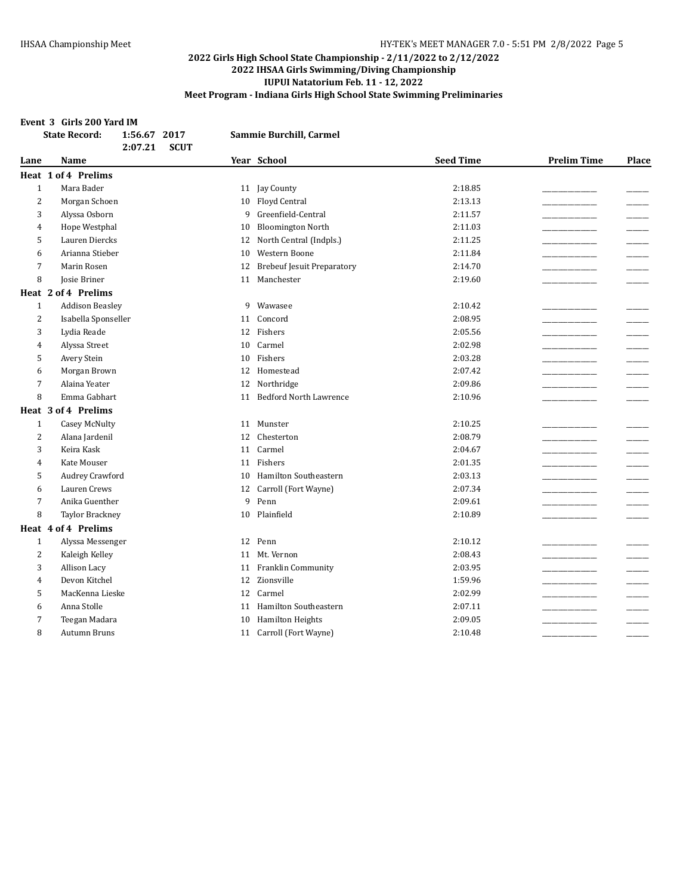#### **Event 3 Girls 200 Yard IM**

|                | <b>State Record:</b><br>1:56.67 2017<br><b>SCUT</b><br>2:07.21 | Sammie Burchill, Carmel                 |                  |                    |       |
|----------------|----------------------------------------------------------------|-----------------------------------------|------------------|--------------------|-------|
| Lane           | Name                                                           | Year School                             | <b>Seed Time</b> | <b>Prelim Time</b> | Place |
|                | <b>Heat 1 of 4 Prelims</b>                                     |                                         |                  |                    |       |
| $\mathbf{1}$   | Mara Bader                                                     | 11 Jay County                           | 2:18.85          |                    |       |
| 2              | Morgan Schoen                                                  | Floyd Central<br>10                     | 2:13.13          |                    |       |
| 3              | Alyssa Osborn                                                  | Greenfield-Central<br>9                 | 2:11.57          |                    |       |
| 4              | Hope Westphal                                                  | <b>Bloomington North</b><br>10          | 2:11.03          |                    |       |
| 5              | Lauren Diercks                                                 | North Central (Indpls.)<br>12           | 2:11.25          |                    |       |
| 6              | Arianna Stieber                                                | Western Boone<br>10                     | 2:11.84          |                    |       |
| 7              | Marin Rosen                                                    | <b>Brebeuf Jesuit Preparatory</b><br>12 | 2:14.70          |                    |       |
| 8              | Josie Briner                                                   | Manchester<br>11                        | 2:19.60          |                    |       |
|                | Heat 2 of 4 Prelims                                            |                                         |                  |                    |       |
| $\mathbf{1}$   | <b>Addison Beasley</b>                                         | Wawasee<br>9                            | 2:10.42          |                    |       |
| $\overline{2}$ | Isabella Sponseller                                            | Concord<br>11                           | 2:08.95          |                    |       |
| 3              | Lydia Reade                                                    | Fishers<br>12                           | 2:05.56          |                    |       |
| 4              | Alyssa Street                                                  | Carmel<br>10                            | 2:02.98          |                    |       |
| 5              | Avery Stein                                                    | Fishers<br>10                           | 2:03.28          |                    |       |
| 6              | Morgan Brown                                                   | 12 Homestead                            | 2:07.42          |                    |       |
| 7              | Alaina Yeater                                                  | Northridge<br>12                        | 2:09.86          |                    |       |
| 8              | Emma Gabhart                                                   | <b>Bedford North Lawrence</b><br>11     | 2:10.96          |                    |       |
|                | Heat 3 of 4 Prelims                                            |                                         |                  |                    |       |
| $\mathbf{1}$   | <b>Casey McNulty</b>                                           | Munster<br>11                           | 2:10.25          |                    |       |
| 2              | Alana Jardenil                                                 | Chesterton<br>12                        | 2:08.79          |                    |       |
| 3              | Keira Kask                                                     | Carmel<br>11                            | 2:04.67          |                    |       |
| 4              | Kate Mouser                                                    | Fishers<br>11                           | 2:01.35          |                    |       |
| 5              | Audrey Crawford                                                | Hamilton Southeastern<br>10             | 2:03.13          |                    |       |
| 6              | Lauren Crews                                                   | Carroll (Fort Wayne)<br>12              | 2:07.34          |                    |       |
| 7              | Anika Guenther                                                 | 9<br>Penn                               | 2:09.61          |                    |       |
| 8              | <b>Taylor Brackney</b>                                         | Plainfield<br>10                        | 2:10.89          |                    |       |
|                | Heat 4 of 4 Prelims                                            |                                         |                  |                    |       |
| $\mathbf{1}$   | Alyssa Messenger                                               | 12 Penn                                 | 2:10.12          |                    |       |
| $\overline{2}$ | Kaleigh Kelley                                                 | Mt. Vernon<br>11                        | 2:08.43          |                    |       |
| 3              | Allison Lacy                                                   | Franklin Community<br>11                | 2:03.95          |                    |       |
| 4              | Devon Kitchel                                                  | Zionsville<br>12                        | 1:59.96          |                    |       |
| 5              | MacKenna Lieske                                                | Carmel<br>12                            | 2:02.99          |                    |       |
| 6              | Anna Stolle                                                    | <b>Hamilton Southeastern</b><br>11      | 2:07.11          |                    |       |
| 7              | Teegan Madara                                                  | <b>Hamilton Heights</b><br>10           | 2:09.05          |                    |       |
| 8              | <b>Autumn Bruns</b>                                            | 11 Carroll (Fort Wayne)                 | 2:10.48          |                    |       |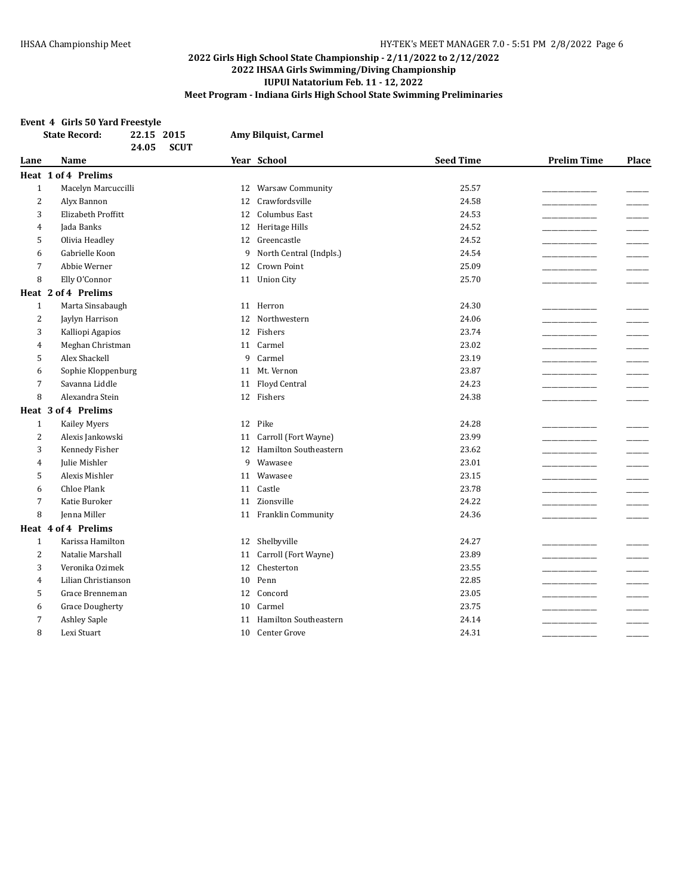#### **Event 4 Girls 50 Yard Freestyle**

|                | <b>State Record:</b>   | 22.15 2015<br><b>SCUT</b><br>24.05 |    | Amy Bilquist, Carmel         |                  |                    |                          |
|----------------|------------------------|------------------------------------|----|------------------------------|------------------|--------------------|--------------------------|
| Lane           | Name                   |                                    |    | Year School                  | <b>Seed Time</b> | <b>Prelim Time</b> | Place                    |
|                | Heat 1 of 4 Prelims    |                                    |    |                              |                  |                    |                          |
| $\mathbf{1}$   | Macelyn Marcuccilli    |                                    |    | 12 Warsaw Community          | 25.57            |                    |                          |
| $\overline{2}$ | Alyx Bannon            |                                    | 12 | Crawfordsville               | 24.58            |                    |                          |
| 3              | Elizabeth Proffitt     |                                    | 12 | Columbus East                | 24.53            |                    |                          |
| $\overline{4}$ | Jada Banks             |                                    | 12 | Heritage Hills               | 24.52            |                    |                          |
| 5              | Olivia Headley         |                                    | 12 | Greencastle                  | 24.52            |                    |                          |
| 6              | Gabrielle Koon         |                                    | 9  | North Central (Indpls.)      | 24.54            |                    |                          |
| $\overline{7}$ | Abbie Werner           |                                    | 12 | <b>Crown Point</b>           | 25.09            |                    |                          |
| 8              | Elly O'Connor          |                                    | 11 | <b>Union City</b>            | 25.70            |                    |                          |
|                | Heat 2 of 4 Prelims    |                                    |    |                              |                  |                    |                          |
| $\mathbf{1}$   | Marta Sinsabaugh       |                                    | 11 | Herron                       | 24.30            |                    |                          |
| 2              | Jaylyn Harrison        |                                    | 12 | Northwestern                 | 24.06            |                    |                          |
| 3              | Kalliopi Agapios       |                                    | 12 | Fishers                      | 23.74            |                    | $\overline{\phantom{a}}$ |
| $\overline{4}$ | Meghan Christman       |                                    |    | 11 Carmel                    | 23.02            |                    |                          |
| 5              | Alex Shackell          |                                    | 9  | Carmel                       | 23.19            |                    |                          |
| 6              | Sophie Kloppenburg     |                                    | 11 | Mt. Vernon                   | 23.87            |                    |                          |
| 7              | Savanna Liddle         |                                    | 11 | Floyd Central                | 24.23            |                    |                          |
| 8              | Alexandra Stein        |                                    |    | 12 Fishers                   | 24.38            |                    |                          |
|                | Heat 3 of 4 Prelims    |                                    |    |                              |                  |                    |                          |
| $\mathbf{1}$   | <b>Kailey Myers</b>    |                                    |    | 12 Pike                      | 24.28            |                    |                          |
| 2              | Alexis Jankowski       |                                    | 11 | Carroll (Fort Wayne)         | 23.99            |                    |                          |
| 3              | Kennedy Fisher         |                                    | 12 | Hamilton Southeastern        | 23.62            |                    |                          |
| 4              | Julie Mishler          |                                    | 9  | Wawasee                      | 23.01            |                    |                          |
| 5              | Alexis Mishler         |                                    | 11 | Wawasee                      | 23.15            |                    |                          |
| 6              | <b>Chloe Plank</b>     |                                    | 11 | Castle                       | 23.78            |                    |                          |
| 7              | Katie Buroker          |                                    | 11 | Zionsville                   | 24.22            |                    |                          |
| 8              | Jenna Miller           |                                    |    | 11 Franklin Community        | 24.36            |                    |                          |
|                | Heat 4 of 4 Prelims    |                                    |    |                              |                  |                    |                          |
| $\mathbf{1}$   | Karissa Hamilton       |                                    | 12 | Shelbyville                  | 24.27            |                    |                          |
| $\overline{2}$ | Natalie Marshall       |                                    | 11 | Carroll (Fort Wayne)         | 23.89            |                    |                          |
| 3              | Veronika Ozimek        |                                    | 12 | Chesterton                   | 23.55            |                    |                          |
| 4              | Lilian Christianson    |                                    | 10 | Penn                         | 22.85            |                    |                          |
| 5              | Grace Brenneman        |                                    | 12 | Concord                      | 23.05            |                    |                          |
| 6              | <b>Grace Dougherty</b> |                                    | 10 | Carmel                       | 23.75            |                    |                          |
| 7              | <b>Ashley Saple</b>    |                                    | 11 | <b>Hamilton Southeastern</b> | 24.14            |                    |                          |
| 8              | Lexi Stuart            |                                    | 10 | Center Grove                 | 24.31            |                    |                          |
|                |                        |                                    |    |                              |                  |                    |                          |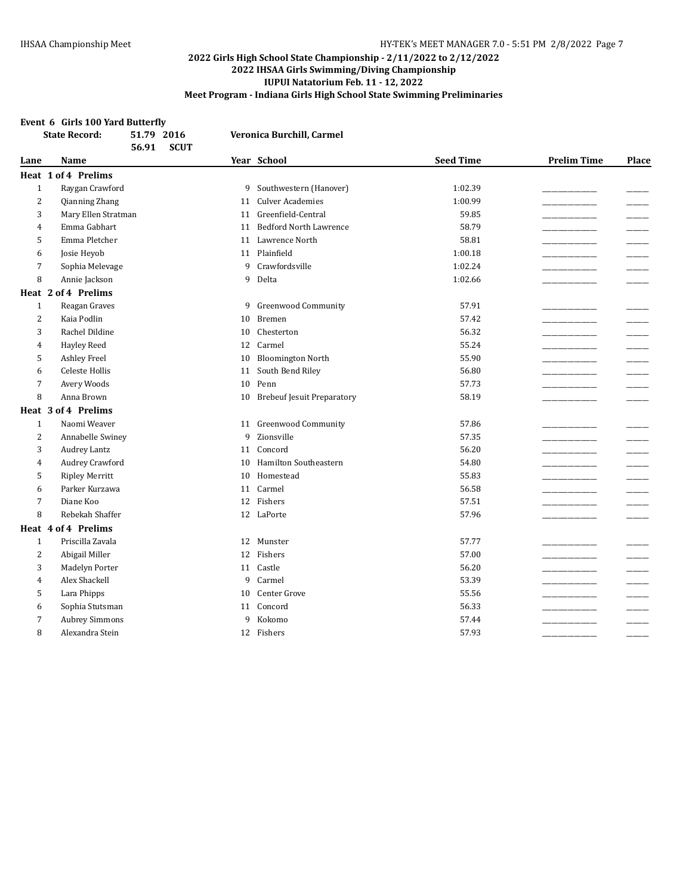#### **Event 6 Girls 100 Yard Butterfly**

| Year School<br><b>Seed Time</b><br><b>Prelim Time</b><br>Name<br>Lane<br>Heat 1 of 4 Prelims<br>Raygan Crawford<br>$\mathbf{1}$<br>9 Southwestern (Hanover)<br>1:02.39<br>$\overline{2}$<br><b>Culver Academies</b><br>1:00.99<br>Qianning Zhang<br>11<br>Mary Ellen Stratman<br>Greenfield-Central<br>59.85<br>3<br>11<br>58.79<br>Emma Gabhart<br><b>Bedford North Lawrence</b><br>11<br>4<br>Emma Pletcher<br>Lawrence North<br>58.81<br>5<br>11<br>$\overline{\phantom{a}}$<br>Plainfield<br>1:00.18<br>Josie Heyob<br>11<br>6<br>$\overline{7}$<br>9<br>Crawfordsville<br>1:02.24<br>Sophia Melevage<br>8<br>Annie Jackson<br>9<br>Delta<br>1:02.66<br>Heat 2 of 4 Prelims<br>$\mathbf{1}$<br>Reagan Graves<br><b>Greenwood Community</b><br>57.91<br>9<br>$\overline{2}$<br>Kaia Podlin<br>57.42<br>Bremen<br>10<br>Rachel Dildine<br>Chesterton<br>56.32<br>3<br>10<br>Carmel<br>55.24<br><b>Hayley Reed</b><br>$\overline{4}$<br>12<br><b>Bloomington North</b><br>55.90<br>5<br><b>Ashley Freel</b><br>10<br>Celeste Hollis<br>South Bend Riley<br>56.80<br>6<br>11<br>$\overline{7}$<br>Penn<br>57.73<br>Avery Woods<br>10<br>8<br>Anna Brown<br><b>Brebeuf Jesuit Preparatory</b><br>58.19<br>10<br>Heat 3 of 4 Prelims<br>$\mathbf{1}$<br>Naomi Weaver<br>11 Greenwood Community<br>57.86<br>2<br>Zionsville<br>57.35<br>Annabelle Swiney<br>9<br>56.20<br>3<br>Audrey Lantz<br>11<br>Concord<br><b>Hamilton Southeastern</b><br>Audrey Crawford<br>54.80<br>10<br>4<br>55.83<br><b>Ripley Merritt</b><br>Homestead<br>5<br>10<br>Parker Kurzawa<br>Carmel<br>56.58<br>11<br>6<br>Diane Koo<br>Fishers<br>57.51<br>7<br>12<br>8<br>Rebekah Shaffer<br>12 LaPorte<br>57.96<br>Heat 4 of 4 Prelims<br>Priscilla Zavala<br>$\mathbf{1}$<br>12 Munster<br>57.77<br>Fishers<br>$\overline{2}$<br>Abigail Miller<br>57.00<br>12<br>56.20<br>3<br>Madelyn Porter<br>Castle<br>11<br>Alex Shackell<br>9<br>Carmel<br>53.39<br>$\overline{4}$<br>$\overline{\phantom{a}}$<br>Center Grove<br>55.56<br>5<br>Lara Phipps<br>10<br>$\overline{\phantom{a}}$<br>Concord<br>56.33<br>Sophia Stutsman<br>6<br>11<br><b>Aubrey Simmons</b><br>Kokomo<br>57.44<br>7<br>9<br>57.93<br>8<br>Alexandra Stein<br>12 Fishers | <b>State Record:</b> | 51.79 2016<br><b>SCUT</b><br>56.91 | Veronica Burchill, Carmel |  |       |
|--------------------------------------------------------------------------------------------------------------------------------------------------------------------------------------------------------------------------------------------------------------------------------------------------------------------------------------------------------------------------------------------------------------------------------------------------------------------------------------------------------------------------------------------------------------------------------------------------------------------------------------------------------------------------------------------------------------------------------------------------------------------------------------------------------------------------------------------------------------------------------------------------------------------------------------------------------------------------------------------------------------------------------------------------------------------------------------------------------------------------------------------------------------------------------------------------------------------------------------------------------------------------------------------------------------------------------------------------------------------------------------------------------------------------------------------------------------------------------------------------------------------------------------------------------------------------------------------------------------------------------------------------------------------------------------------------------------------------------------------------------------------------------------------------------------------------------------------------------------------------------------------------------------------------------------------------------------------------------------------------------------------------------------------------------------------------------------------------------------------------------------------------------------------------------------------------------------------|----------------------|------------------------------------|---------------------------|--|-------|
|                                                                                                                                                                                                                                                                                                                                                                                                                                                                                                                                                                                                                                                                                                                                                                                                                                                                                                                                                                                                                                                                                                                                                                                                                                                                                                                                                                                                                                                                                                                                                                                                                                                                                                                                                                                                                                                                                                                                                                                                                                                                                                                                                                                                                    |                      |                                    |                           |  | Place |
|                                                                                                                                                                                                                                                                                                                                                                                                                                                                                                                                                                                                                                                                                                                                                                                                                                                                                                                                                                                                                                                                                                                                                                                                                                                                                                                                                                                                                                                                                                                                                                                                                                                                                                                                                                                                                                                                                                                                                                                                                                                                                                                                                                                                                    |                      |                                    |                           |  |       |
|                                                                                                                                                                                                                                                                                                                                                                                                                                                                                                                                                                                                                                                                                                                                                                                                                                                                                                                                                                                                                                                                                                                                                                                                                                                                                                                                                                                                                                                                                                                                                                                                                                                                                                                                                                                                                                                                                                                                                                                                                                                                                                                                                                                                                    |                      |                                    |                           |  |       |
|                                                                                                                                                                                                                                                                                                                                                                                                                                                                                                                                                                                                                                                                                                                                                                                                                                                                                                                                                                                                                                                                                                                                                                                                                                                                                                                                                                                                                                                                                                                                                                                                                                                                                                                                                                                                                                                                                                                                                                                                                                                                                                                                                                                                                    |                      |                                    |                           |  |       |
|                                                                                                                                                                                                                                                                                                                                                                                                                                                                                                                                                                                                                                                                                                                                                                                                                                                                                                                                                                                                                                                                                                                                                                                                                                                                                                                                                                                                                                                                                                                                                                                                                                                                                                                                                                                                                                                                                                                                                                                                                                                                                                                                                                                                                    |                      |                                    |                           |  |       |
|                                                                                                                                                                                                                                                                                                                                                                                                                                                                                                                                                                                                                                                                                                                                                                                                                                                                                                                                                                                                                                                                                                                                                                                                                                                                                                                                                                                                                                                                                                                                                                                                                                                                                                                                                                                                                                                                                                                                                                                                                                                                                                                                                                                                                    |                      |                                    |                           |  |       |
|                                                                                                                                                                                                                                                                                                                                                                                                                                                                                                                                                                                                                                                                                                                                                                                                                                                                                                                                                                                                                                                                                                                                                                                                                                                                                                                                                                                                                                                                                                                                                                                                                                                                                                                                                                                                                                                                                                                                                                                                                                                                                                                                                                                                                    |                      |                                    |                           |  |       |
|                                                                                                                                                                                                                                                                                                                                                                                                                                                                                                                                                                                                                                                                                                                                                                                                                                                                                                                                                                                                                                                                                                                                                                                                                                                                                                                                                                                                                                                                                                                                                                                                                                                                                                                                                                                                                                                                                                                                                                                                                                                                                                                                                                                                                    |                      |                                    |                           |  |       |
|                                                                                                                                                                                                                                                                                                                                                                                                                                                                                                                                                                                                                                                                                                                                                                                                                                                                                                                                                                                                                                                                                                                                                                                                                                                                                                                                                                                                                                                                                                                                                                                                                                                                                                                                                                                                                                                                                                                                                                                                                                                                                                                                                                                                                    |                      |                                    |                           |  |       |
|                                                                                                                                                                                                                                                                                                                                                                                                                                                                                                                                                                                                                                                                                                                                                                                                                                                                                                                                                                                                                                                                                                                                                                                                                                                                                                                                                                                                                                                                                                                                                                                                                                                                                                                                                                                                                                                                                                                                                                                                                                                                                                                                                                                                                    |                      |                                    |                           |  |       |
|                                                                                                                                                                                                                                                                                                                                                                                                                                                                                                                                                                                                                                                                                                                                                                                                                                                                                                                                                                                                                                                                                                                                                                                                                                                                                                                                                                                                                                                                                                                                                                                                                                                                                                                                                                                                                                                                                                                                                                                                                                                                                                                                                                                                                    |                      |                                    |                           |  |       |
|                                                                                                                                                                                                                                                                                                                                                                                                                                                                                                                                                                                                                                                                                                                                                                                                                                                                                                                                                                                                                                                                                                                                                                                                                                                                                                                                                                                                                                                                                                                                                                                                                                                                                                                                                                                                                                                                                                                                                                                                                                                                                                                                                                                                                    |                      |                                    |                           |  |       |
|                                                                                                                                                                                                                                                                                                                                                                                                                                                                                                                                                                                                                                                                                                                                                                                                                                                                                                                                                                                                                                                                                                                                                                                                                                                                                                                                                                                                                                                                                                                                                                                                                                                                                                                                                                                                                                                                                                                                                                                                                                                                                                                                                                                                                    |                      |                                    |                           |  |       |
|                                                                                                                                                                                                                                                                                                                                                                                                                                                                                                                                                                                                                                                                                                                                                                                                                                                                                                                                                                                                                                                                                                                                                                                                                                                                                                                                                                                                                                                                                                                                                                                                                                                                                                                                                                                                                                                                                                                                                                                                                                                                                                                                                                                                                    |                      |                                    |                           |  |       |
|                                                                                                                                                                                                                                                                                                                                                                                                                                                                                                                                                                                                                                                                                                                                                                                                                                                                                                                                                                                                                                                                                                                                                                                                                                                                                                                                                                                                                                                                                                                                                                                                                                                                                                                                                                                                                                                                                                                                                                                                                                                                                                                                                                                                                    |                      |                                    |                           |  |       |
|                                                                                                                                                                                                                                                                                                                                                                                                                                                                                                                                                                                                                                                                                                                                                                                                                                                                                                                                                                                                                                                                                                                                                                                                                                                                                                                                                                                                                                                                                                                                                                                                                                                                                                                                                                                                                                                                                                                                                                                                                                                                                                                                                                                                                    |                      |                                    |                           |  |       |
|                                                                                                                                                                                                                                                                                                                                                                                                                                                                                                                                                                                                                                                                                                                                                                                                                                                                                                                                                                                                                                                                                                                                                                                                                                                                                                                                                                                                                                                                                                                                                                                                                                                                                                                                                                                                                                                                                                                                                                                                                                                                                                                                                                                                                    |                      |                                    |                           |  |       |
|                                                                                                                                                                                                                                                                                                                                                                                                                                                                                                                                                                                                                                                                                                                                                                                                                                                                                                                                                                                                                                                                                                                                                                                                                                                                                                                                                                                                                                                                                                                                                                                                                                                                                                                                                                                                                                                                                                                                                                                                                                                                                                                                                                                                                    |                      |                                    |                           |  |       |
|                                                                                                                                                                                                                                                                                                                                                                                                                                                                                                                                                                                                                                                                                                                                                                                                                                                                                                                                                                                                                                                                                                                                                                                                                                                                                                                                                                                                                                                                                                                                                                                                                                                                                                                                                                                                                                                                                                                                                                                                                                                                                                                                                                                                                    |                      |                                    |                           |  |       |
|                                                                                                                                                                                                                                                                                                                                                                                                                                                                                                                                                                                                                                                                                                                                                                                                                                                                                                                                                                                                                                                                                                                                                                                                                                                                                                                                                                                                                                                                                                                                                                                                                                                                                                                                                                                                                                                                                                                                                                                                                                                                                                                                                                                                                    |                      |                                    |                           |  |       |
|                                                                                                                                                                                                                                                                                                                                                                                                                                                                                                                                                                                                                                                                                                                                                                                                                                                                                                                                                                                                                                                                                                                                                                                                                                                                                                                                                                                                                                                                                                                                                                                                                                                                                                                                                                                                                                                                                                                                                                                                                                                                                                                                                                                                                    |                      |                                    |                           |  |       |
|                                                                                                                                                                                                                                                                                                                                                                                                                                                                                                                                                                                                                                                                                                                                                                                                                                                                                                                                                                                                                                                                                                                                                                                                                                                                                                                                                                                                                                                                                                                                                                                                                                                                                                                                                                                                                                                                                                                                                                                                                                                                                                                                                                                                                    |                      |                                    |                           |  |       |
|                                                                                                                                                                                                                                                                                                                                                                                                                                                                                                                                                                                                                                                                                                                                                                                                                                                                                                                                                                                                                                                                                                                                                                                                                                                                                                                                                                                                                                                                                                                                                                                                                                                                                                                                                                                                                                                                                                                                                                                                                                                                                                                                                                                                                    |                      |                                    |                           |  |       |
|                                                                                                                                                                                                                                                                                                                                                                                                                                                                                                                                                                                                                                                                                                                                                                                                                                                                                                                                                                                                                                                                                                                                                                                                                                                                                                                                                                                                                                                                                                                                                                                                                                                                                                                                                                                                                                                                                                                                                                                                                                                                                                                                                                                                                    |                      |                                    |                           |  |       |
|                                                                                                                                                                                                                                                                                                                                                                                                                                                                                                                                                                                                                                                                                                                                                                                                                                                                                                                                                                                                                                                                                                                                                                                                                                                                                                                                                                                                                                                                                                                                                                                                                                                                                                                                                                                                                                                                                                                                                                                                                                                                                                                                                                                                                    |                      |                                    |                           |  |       |
|                                                                                                                                                                                                                                                                                                                                                                                                                                                                                                                                                                                                                                                                                                                                                                                                                                                                                                                                                                                                                                                                                                                                                                                                                                                                                                                                                                                                                                                                                                                                                                                                                                                                                                                                                                                                                                                                                                                                                                                                                                                                                                                                                                                                                    |                      |                                    |                           |  |       |
|                                                                                                                                                                                                                                                                                                                                                                                                                                                                                                                                                                                                                                                                                                                                                                                                                                                                                                                                                                                                                                                                                                                                                                                                                                                                                                                                                                                                                                                                                                                                                                                                                                                                                                                                                                                                                                                                                                                                                                                                                                                                                                                                                                                                                    |                      |                                    |                           |  |       |
|                                                                                                                                                                                                                                                                                                                                                                                                                                                                                                                                                                                                                                                                                                                                                                                                                                                                                                                                                                                                                                                                                                                                                                                                                                                                                                                                                                                                                                                                                                                                                                                                                                                                                                                                                                                                                                                                                                                                                                                                                                                                                                                                                                                                                    |                      |                                    |                           |  |       |
|                                                                                                                                                                                                                                                                                                                                                                                                                                                                                                                                                                                                                                                                                                                                                                                                                                                                                                                                                                                                                                                                                                                                                                                                                                                                                                                                                                                                                                                                                                                                                                                                                                                                                                                                                                                                                                                                                                                                                                                                                                                                                                                                                                                                                    |                      |                                    |                           |  |       |
|                                                                                                                                                                                                                                                                                                                                                                                                                                                                                                                                                                                                                                                                                                                                                                                                                                                                                                                                                                                                                                                                                                                                                                                                                                                                                                                                                                                                                                                                                                                                                                                                                                                                                                                                                                                                                                                                                                                                                                                                                                                                                                                                                                                                                    |                      |                                    |                           |  |       |
|                                                                                                                                                                                                                                                                                                                                                                                                                                                                                                                                                                                                                                                                                                                                                                                                                                                                                                                                                                                                                                                                                                                                                                                                                                                                                                                                                                                                                                                                                                                                                                                                                                                                                                                                                                                                                                                                                                                                                                                                                                                                                                                                                                                                                    |                      |                                    |                           |  |       |
|                                                                                                                                                                                                                                                                                                                                                                                                                                                                                                                                                                                                                                                                                                                                                                                                                                                                                                                                                                                                                                                                                                                                                                                                                                                                                                                                                                                                                                                                                                                                                                                                                                                                                                                                                                                                                                                                                                                                                                                                                                                                                                                                                                                                                    |                      |                                    |                           |  |       |
|                                                                                                                                                                                                                                                                                                                                                                                                                                                                                                                                                                                                                                                                                                                                                                                                                                                                                                                                                                                                                                                                                                                                                                                                                                                                                                                                                                                                                                                                                                                                                                                                                                                                                                                                                                                                                                                                                                                                                                                                                                                                                                                                                                                                                    |                      |                                    |                           |  |       |
|                                                                                                                                                                                                                                                                                                                                                                                                                                                                                                                                                                                                                                                                                                                                                                                                                                                                                                                                                                                                                                                                                                                                                                                                                                                                                                                                                                                                                                                                                                                                                                                                                                                                                                                                                                                                                                                                                                                                                                                                                                                                                                                                                                                                                    |                      |                                    |                           |  |       |
|                                                                                                                                                                                                                                                                                                                                                                                                                                                                                                                                                                                                                                                                                                                                                                                                                                                                                                                                                                                                                                                                                                                                                                                                                                                                                                                                                                                                                                                                                                                                                                                                                                                                                                                                                                                                                                                                                                                                                                                                                                                                                                                                                                                                                    |                      |                                    |                           |  |       |
|                                                                                                                                                                                                                                                                                                                                                                                                                                                                                                                                                                                                                                                                                                                                                                                                                                                                                                                                                                                                                                                                                                                                                                                                                                                                                                                                                                                                                                                                                                                                                                                                                                                                                                                                                                                                                                                                                                                                                                                                                                                                                                                                                                                                                    |                      |                                    |                           |  |       |
|                                                                                                                                                                                                                                                                                                                                                                                                                                                                                                                                                                                                                                                                                                                                                                                                                                                                                                                                                                                                                                                                                                                                                                                                                                                                                                                                                                                                                                                                                                                                                                                                                                                                                                                                                                                                                                                                                                                                                                                                                                                                                                                                                                                                                    |                      |                                    |                           |  |       |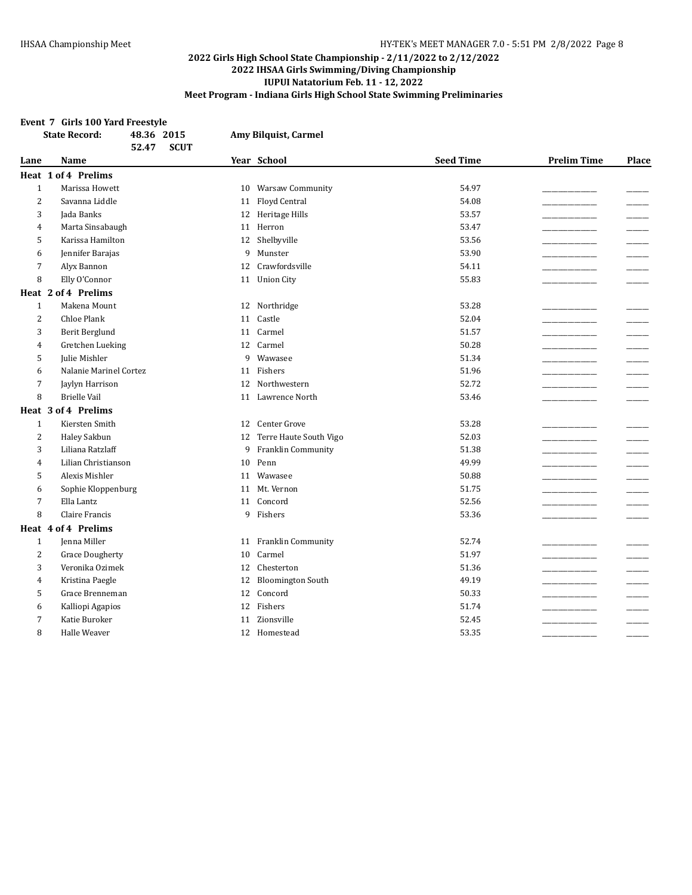#### **Event 7 Girls 100 Yard Freestyle**

|                | <b>State Record:</b>   | 48.36 2015<br><b>SCUT</b><br>52.47 |    | Amy Bilquist, Carmel     |                  |                    |       |
|----------------|------------------------|------------------------------------|----|--------------------------|------------------|--------------------|-------|
| Lane           | Name                   |                                    |    | Year School              | <b>Seed Time</b> | <b>Prelim Time</b> | Place |
|                | Heat 1 of 4 Prelims    |                                    |    |                          |                  |                    |       |
| $\mathbf{1}$   | Marissa Howett         |                                    |    | 10 Warsaw Community      | 54.97            |                    |       |
| $\overline{2}$ | Savanna Liddle         |                                    | 11 | Floyd Central            | 54.08            |                    |       |
| 3              | Jada Banks             |                                    | 12 | Heritage Hills           | 53.57            |                    |       |
| $\overline{4}$ | Marta Sinsabaugh       |                                    | 11 | Herron                   | 53.47            |                    |       |
| 5              | Karissa Hamilton       |                                    | 12 | Shelbyville              | 53.56            |                    |       |
| 6              | Jennifer Barajas       |                                    | 9  | Munster                  | 53.90            |                    |       |
| 7              | Alyx Bannon            |                                    | 12 | Crawfordsville           | 54.11            |                    |       |
| 8              | Elly O'Connor          |                                    | 11 | <b>Union City</b>        | 55.83            |                    |       |
|                | Heat 2 of 4 Prelims    |                                    |    |                          |                  |                    |       |
| $\mathbf{1}$   | Makena Mount           |                                    | 12 | Northridge               | 53.28            |                    |       |
| $\overline{2}$ | <b>Chloe Plank</b>     |                                    | 11 | Castle                   | 52.04            |                    |       |
| 3              | Berit Berglund         |                                    | 11 | Carmel                   | 51.57            |                    |       |
| 4              | Gretchen Lueking       |                                    | 12 | Carmel                   | 50.28            |                    |       |
| 5              | Julie Mishler          |                                    | 9  | Wawasee                  | 51.34            |                    |       |
| 6              | Nalanie Marinel Cortez |                                    | 11 | Fishers                  | 51.96            |                    |       |
| 7              | Jaylyn Harrison        |                                    | 12 | Northwestern             | 52.72            |                    |       |
| 8              | <b>Brielle Vail</b>    |                                    | 11 | Lawrence North           | 53.46            |                    |       |
|                | Heat 3 of 4 Prelims    |                                    |    |                          |                  |                    |       |
| $\mathbf{1}$   | Kiersten Smith         |                                    | 12 | Center Grove             | 53.28            |                    |       |
| $\overline{c}$ | Haley Sakbun           |                                    | 12 | Terre Haute South Vigo   | 52.03            |                    |       |
| 3              | Liliana Ratzlaff       |                                    | 9  | Franklin Community       | 51.38            |                    |       |
| $\overline{4}$ | Lilian Christianson    |                                    | 10 | Penn                     | 49.99            |                    |       |
| 5              | Alexis Mishler         |                                    | 11 | Wawasee                  | 50.88            |                    |       |
| 6              | Sophie Kloppenburg     |                                    | 11 | Mt. Vernon               | 51.75            |                    |       |
| 7              | Ella Lantz             |                                    | 11 | Concord                  | 52.56            |                    |       |
| 8              | Claire Francis         |                                    | 9  | Fishers                  | 53.36            |                    |       |
|                | Heat 4 of 4 Prelims    |                                    |    |                          |                  |                    |       |
| $\mathbf{1}$   | Jenna Miller           |                                    | 11 | Franklin Community       | 52.74            |                    |       |
| $\overline{2}$ | <b>Grace Dougherty</b> |                                    | 10 | Carmel                   | 51.97            |                    |       |
| 3              | Veronika Ozimek        |                                    | 12 | Chesterton               | 51.36            |                    |       |
| $\overline{4}$ | Kristina Paegle        |                                    | 12 | <b>Bloomington South</b> | 49.19            |                    |       |
| 5              | Grace Brenneman        |                                    | 12 | Concord                  | 50.33            |                    |       |
| 6              | Kalliopi Agapios       |                                    | 12 | Fishers                  | 51.74            |                    |       |
| 7              | Katie Buroker          |                                    | 11 | Zionsville               | 52.45            |                    |       |
| 8              | Halle Weaver           |                                    |    | 12 Homestead             | 53.35            |                    |       |
|                |                        |                                    |    |                          |                  |                    |       |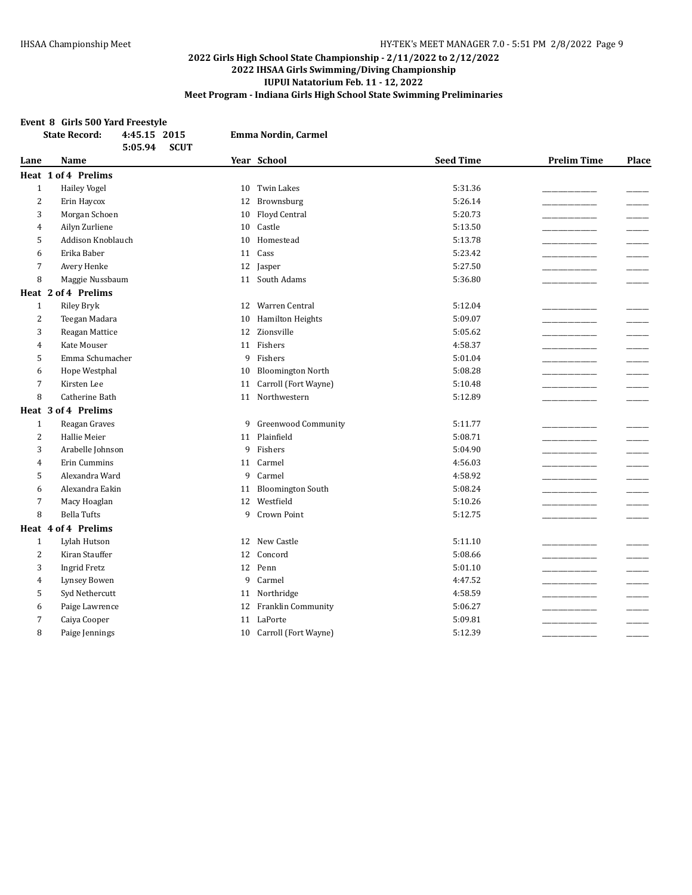#### **Event 8 Girls 500 Yard Freestyle**

|                | <b>State Record:</b><br>4:45.15 2015 |    | Emma Nordin, Carmel        |                  |                    |       |
|----------------|--------------------------------------|----|----------------------------|------------------|--------------------|-------|
|                | <b>SCUT</b><br>5:05.94               |    |                            |                  |                    |       |
| Lane           | <b>Name</b>                          |    | Year School                | <b>Seed Time</b> | <b>Prelim Time</b> | Place |
|                | Heat 1 of 4 Prelims                  |    |                            |                  |                    |       |
| $\mathbf{1}$   | <b>Hailey Vogel</b>                  | 10 | Twin Lakes                 | 5:31.36          |                    |       |
| $\overline{2}$ | Erin Haycox                          | 12 | Brownsburg                 | 5:26.14          |                    |       |
| 3              | Morgan Schoen                        | 10 | <b>Floyd Central</b>       | 5:20.73          |                    |       |
| 4              | Ailyn Zurliene                       | 10 | Castle                     | 5:13.50          |                    |       |
| 5              | Addison Knoblauch                    | 10 | Homestead                  | 5:13.78          |                    |       |
| 6              | Erika Baber                          | 11 | Cass                       | 5:23.42          |                    |       |
| $\overline{7}$ | Avery Henke                          | 12 | Jasper                     | 5:27.50          |                    |       |
| 8              | Maggie Nussbaum                      | 11 | South Adams                | 5:36.80          |                    |       |
|                | Heat 2 of 4 Prelims                  |    |                            |                  |                    |       |
| $\mathbf{1}$   | <b>Riley Bryk</b>                    | 12 | Warren Central             | 5:12.04          |                    |       |
| $\overline{c}$ | Teegan Madara                        | 10 | Hamilton Heights           | 5:09.07          |                    |       |
| 3              | Reagan Mattice                       | 12 | Zionsville                 | 5:05.62          |                    |       |
| 4              | Kate Mouser                          | 11 | Fishers                    | 4:58.37          |                    |       |
| 5              | Emma Schumacher                      | 9  | Fishers                    | 5:01.04          |                    |       |
| 6              | Hope Westphal                        | 10 | <b>Bloomington North</b>   | 5:08.28          |                    |       |
| 7              | Kirsten Lee                          | 11 | Carroll (Fort Wayne)       | 5:10.48          |                    |       |
| 8              | Catherine Bath                       | 11 | Northwestern               | 5:12.89          |                    |       |
|                | Heat 3 of 4 Prelims                  |    |                            |                  |                    |       |
| $\mathbf{1}$   | Reagan Graves                        | 9  | <b>Greenwood Community</b> | 5:11.77          |                    |       |
| $\overline{c}$ | Hallie Meier                         | 11 | Plainfield                 | 5:08.71          |                    |       |
| 3              | Arabelle Johnson                     | 9  | Fishers                    | 5:04.90          |                    |       |
| 4              | Erin Cummins                         | 11 | Carmel                     | 4:56.03          |                    |       |
| 5              | Alexandra Ward                       | 9  | Carmel                     | 4:58.92          |                    |       |
| 6              | Alexandra Eakin                      | 11 | <b>Bloomington South</b>   | 5:08.24          |                    |       |
| $\overline{7}$ | Macy Hoaglan                         | 12 | Westfield                  | 5:10.26          |                    |       |
| 8              | <b>Bella Tufts</b>                   | 9  | Crown Point                | 5:12.75          |                    |       |
|                | Heat 4 of 4 Prelims                  |    |                            |                  |                    |       |
| $\mathbf{1}$   | Lylah Hutson                         |    | 12 New Castle              | 5:11.10          |                    |       |
| 2              | Kiran Stauffer                       | 12 | Concord                    | 5:08.66          |                    |       |
| 3              | <b>Ingrid Fretz</b>                  |    | 12 Penn                    | 5:01.10          |                    |       |
| 4              | Lynsey Bowen                         | 9  | Carmel                     | 4:47.52          |                    |       |
| 5              | Syd Nethercutt                       | 11 | Northridge                 | 4:58.59          |                    |       |
| 6              | Paige Lawrence                       | 12 | Franklin Community         | 5:06.27          |                    |       |
| 7              | Caiya Cooper                         | 11 | LaPorte                    | 5:09.81          |                    |       |
| 8              | Paige Jennings                       |    | 10 Carroll (Fort Wayne)    | 5:12.39          |                    |       |
|                |                                      |    |                            |                  |                    |       |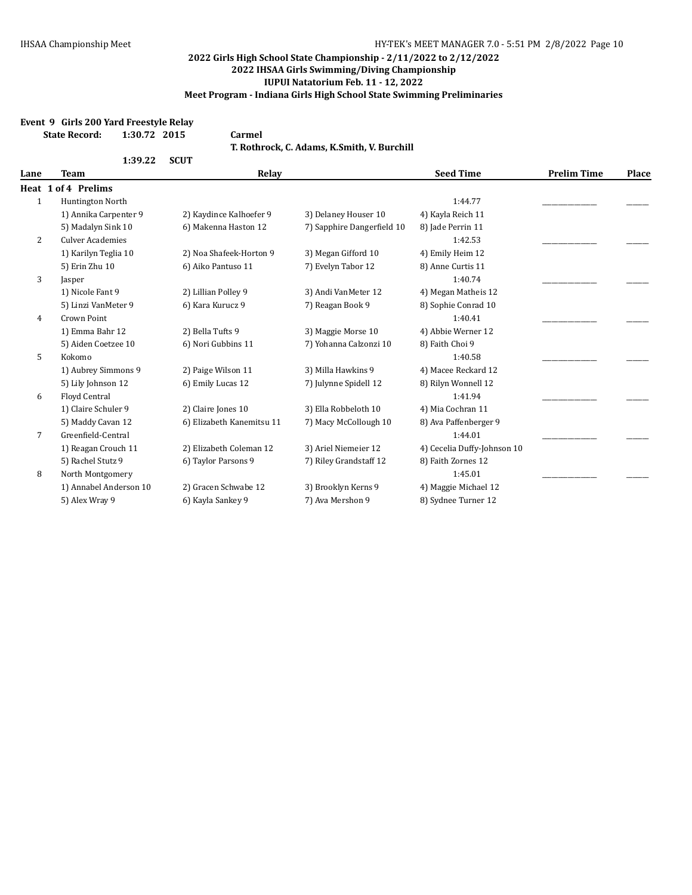## **Event 9 Girls 200 Yard Freestyle Relay**

| <b>State Record:</b> | 1:30.72 2015 |        | Carmel                                      |
|----------------------|--------------|--------|---------------------------------------------|
|                      | 1:39.22      | – SCUT | T. Rothrock. C. Adams. K.Smith. V. Burchill |

| <b>Team</b><br>Lane |                         | Relay                     |                            | <b>Seed Time</b>            | <b>Prelim Time</b> | Place |
|---------------------|-------------------------|---------------------------|----------------------------|-----------------------------|--------------------|-------|
|                     | Heat 1 of 4 Prelims     |                           |                            |                             |                    |       |
| $\mathbf{1}$        | Huntington North        |                           |                            | 1:44.77                     |                    |       |
|                     | 1) Annika Carpenter 9   | 2) Kaydince Kalhoefer 9   | 3) Delaney Houser 10       | 4) Kayla Reich 11           |                    |       |
|                     | 5) Madalyn Sink 10      | 6) Makenna Haston 12      | 7) Sapphire Dangerfield 10 | 8) Jade Perrin 11           |                    |       |
| $\overline{c}$      | <b>Culver Academies</b> |                           |                            | 1:42.53                     |                    |       |
|                     | 1) Karilyn Teglia 10    | 2) Noa Shafeek-Horton 9   | 3) Megan Gifford 10        | 4) Emily Heim 12            |                    |       |
|                     | 5) Erin Zhu 10          | 6) Aiko Pantuso 11        | 7) Evelyn Tabor 12         | 8) Anne Curtis 11           |                    |       |
| 3                   | Jasper                  |                           |                            | 1:40.74                     |                    |       |
|                     | 1) Nicole Fant 9        | 2) Lillian Polley 9       | 3) Andi VanMeter 12        | 4) Megan Matheis 12         |                    |       |
|                     | 5) Linzi VanMeter 9     | 6) Kara Kurucz 9          | 7) Reagan Book 9           | 8) Sophie Conrad 10         |                    |       |
| $\overline{4}$      | Crown Point             |                           |                            | 1:40.41                     |                    |       |
|                     | 1) Emma Bahr 12         | 2) Bella Tufts 9          | 3) Maggie Morse 10         | 4) Abbie Werner 12          |                    |       |
|                     | 5) Aiden Coetzee 10     | 6) Nori Gubbins 11        | 7) Yohanna Calzonzi 10     | 8) Faith Choi 9             |                    |       |
| 5                   | Kokomo                  |                           |                            | 1:40.58                     |                    |       |
|                     | 1) Aubrey Simmons 9     | 2) Paige Wilson 11        | 3) Milla Hawkins 9         | 4) Macee Reckard 12         |                    |       |
|                     | 5) Lily Johnson 12      | 6) Emily Lucas 12         | 7) Julynne Spidell 12      | 8) Rilyn Wonnell 12         |                    |       |
| 6                   | Floyd Central           |                           |                            | 1:41.94                     |                    |       |
|                     | 1) Claire Schuler 9     | 2) Claire Jones 10        | 3) Ella Robbeloth 10       | 4) Mia Cochran 11           |                    |       |
|                     | 5) Maddy Cavan 12       | 6) Elizabeth Kanemitsu 11 | 7) Macy McCollough 10      | 8) Ava Paffenberger 9       |                    |       |
| 7                   | Greenfield-Central      |                           |                            | 1:44.01                     |                    |       |
|                     | 1) Reagan Crouch 11     | 2) Elizabeth Coleman 12   | 3) Ariel Niemeier 12       | 4) Cecelia Duffy-Johnson 10 |                    |       |
|                     | 5) Rachel Stutz 9       | 6) Taylor Parsons 9       | 7) Riley Grandstaff 12     | 8) Faith Zornes 12          |                    |       |
| 8                   | North Montgomery        |                           |                            | 1:45.01                     |                    |       |
|                     | 1) Annabel Anderson 10  | 2) Gracen Schwabe 12      | 3) Brooklyn Kerns 9        | 4) Maggie Michael 12        |                    |       |
|                     | 5) Alex Wray 9          | 6) Kayla Sankey 9         | 7) Ava Mershon 9           | 8) Sydnee Turner 12         |                    |       |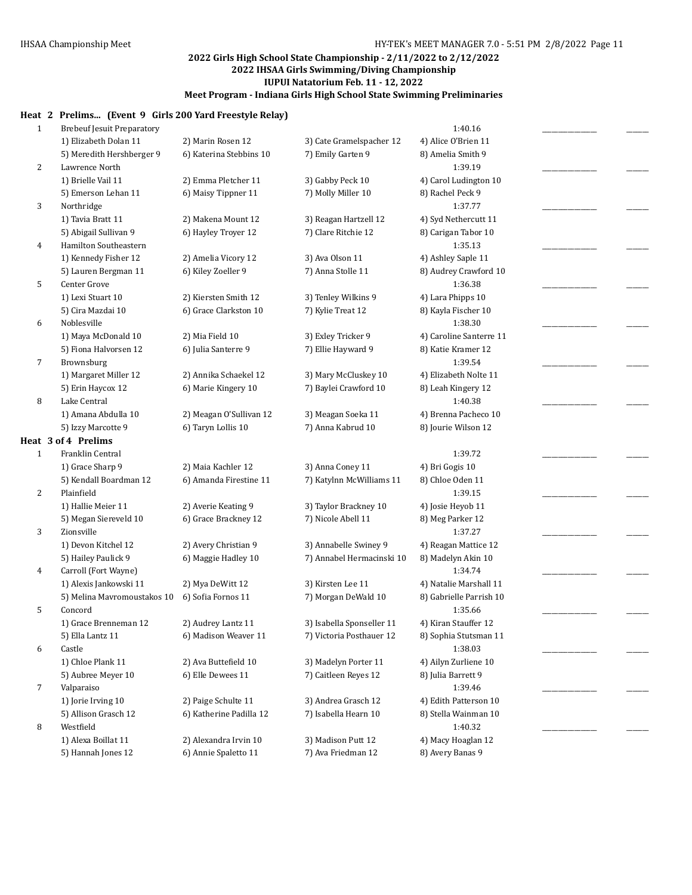## **Heat 2 Prelims... (Event 9 Girls 200 Yard Freestyle Relay)**

| $\mathbf{1}$ | <b>Brebeuf Jesuit Preparatory</b> |                         |                           | 1:40.16                 |  |
|--------------|-----------------------------------|-------------------------|---------------------------|-------------------------|--|
|              | 1) Elizabeth Dolan 11             | 2) Marin Rosen 12       | 3) Cate Gramelspacher 12  | 4) Alice O'Brien 11     |  |
|              | 5) Meredith Hershberger 9         | 6) Katerina Stebbins 10 | 7) Emily Garten 9         | 8) Amelia Smith 9       |  |
| 2            | Lawrence North                    |                         |                           | 1:39.19                 |  |
|              | 1) Brielle Vail 11                | 2) Emma Pletcher 11     | 3) Gabby Peck 10          | 4) Carol Ludington 10   |  |
|              | 5) Emerson Lehan 11               | 6) Maisy Tippner 11     | 7) Molly Miller 10        | 8) Rachel Peck 9        |  |
| 3            | Northridge                        |                         |                           | 1:37.77                 |  |
|              | 1) Tavia Bratt 11                 | 2) Makena Mount 12      | 3) Reagan Hartzell 12     | 4) Syd Nethercutt 11    |  |
|              | 5) Abigail Sullivan 9             | 6) Hayley Troyer 12     | 7) Clare Ritchie 12       | 8) Carigan Tabor 10     |  |
| 4            | Hamilton Southeastern             |                         |                           | 1:35.13                 |  |
|              | 1) Kennedy Fisher 12              | 2) Amelia Vicory 12     | 3) Ava Olson 11           | 4) Ashley Saple 11      |  |
|              | 5) Lauren Bergman 11              | 6) Kiley Zoeller 9      | 7) Anna Stolle 11         | 8) Audrey Crawford 10   |  |
| 5            | Center Grove                      |                         |                           | 1:36.38                 |  |
|              | 1) Lexi Stuart 10                 | 2) Kiersten Smith 12    | 3) Tenley Wilkins 9       | 4) Lara Phipps 10       |  |
|              | 5) Cira Mazdai 10                 | 6) Grace Clarkston 10   | 7) Kylie Treat 12         | 8) Kayla Fischer 10     |  |
| 6            | Noblesville                       |                         |                           | 1:38.30                 |  |
|              | 1) Maya McDonald 10               | 2) Mia Field 10         | 3) Exley Tricker 9        | 4) Caroline Santerre 11 |  |
|              | 5) Fiona Halvorsen 12             | 6) Julia Santerre 9     | 7) Ellie Hayward 9        | 8) Katie Kramer 12      |  |
| 7            | Brownsburg                        |                         |                           | 1:39.54                 |  |
|              | 1) Margaret Miller 12             | 2) Annika Schaekel 12   | 3) Mary McCluskey 10      | 4) Elizabeth Nolte 11   |  |
|              | 5) Erin Haycox 12                 | 6) Marie Kingery 10     | 7) Baylei Crawford 10     | 8) Leah Kingery 12      |  |
| 8            | Lake Central                      |                         |                           | 1:40.38                 |  |
|              | 1) Amana Abdulla 10               | 2) Meagan O'Sullivan 12 | 3) Meagan Soeka 11        | 4) Brenna Pacheco 10    |  |
|              | 5) Izzy Marcotte 9                | 6) Taryn Lollis 10      | 7) Anna Kabrud 10         | 8) Jourie Wilson 12     |  |
|              | Heat 3 of 4 Prelims               |                         |                           |                         |  |
| $\mathbf{1}$ | Franklin Central                  |                         |                           | 1:39.72                 |  |
|              | 1) Grace Sharp 9                  | 2) Maia Kachler 12      | 3) Anna Coney 11          | 4) Bri Gogis 10         |  |
|              | 5) Kendall Boardman 12            | 6) Amanda Firestine 11  | 7) Katylnn McWilliams 11  | 8) Chloe Oden 11        |  |
| 2            | Plainfield                        |                         |                           | 1:39.15                 |  |
|              | 1) Hallie Meier 11                | 2) Averie Keating 9     | 3) Taylor Brackney 10     | 4) Josie Heyob 11       |  |
|              | 5) Megan Siereveld 10             | 6) Grace Brackney 12    | 7) Nicole Abell 11        | 8) Meg Parker 12        |  |
| 3            | Zionsville                        |                         |                           | 1:37.27                 |  |
|              | 1) Devon Kitchel 12               | 2) Avery Christian 9    | 3) Annabelle Swiney 9     | 4) Reagan Mattice 12    |  |
|              | 5) Hailey Paulick 9               | 6) Maggie Hadley 10     | 7) Annabel Hermacinski 10 | 8) Madelyn Akin 10      |  |
| 4            | Carroll (Fort Wayne)              |                         |                           | 1:34.74                 |  |
|              | 1) Alexis Jankowski 11            | 2) Mya DeWitt 12        | 3) Kirsten Lee 11         | 4) Natalie Marshall 11  |  |
|              | 5) Melina Mavromoustakos 10       | 6) Sofia Fornos 11      | 7) Morgan DeWald 10       | 8) Gabrielle Parrish 10 |  |
| 5            | Concord                           |                         |                           | 1:35.66                 |  |
|              | 1) Grace Brenneman 12             | 2) Audrey Lantz 11      | 3) Isabella Sponseller 11 | 4) Kiran Stauffer 12    |  |
|              | 5) Ella Lantz 11                  | 6) Madison Weaver 11    | 7) Victoria Posthauer 12  | 8) Sophia Stutsman 11   |  |
| 6            | Castle                            |                         |                           | 1:38.03                 |  |
|              | 1) Chloe Plank 11                 | 2) Ava Buttefield 10    | 3) Madelyn Porter 11      | 4) Ailyn Zurliene 10    |  |
|              | 5) Aubree Meyer 10                | 6) Elle Dewees 11       | 7) Caitleen Reyes 12      | 8) Julia Barrett 9      |  |
| 7            | Valparaiso                        |                         |                           | 1:39.46                 |  |
|              | 1) Jorie Irving 10                | 2) Paige Schulte 11     | 3) Andrea Grasch 12       | 4) Edith Patterson 10   |  |
|              | 5) Allison Grasch 12<br>Westfield | 6) Katherine Padilla 12 | 7) Isabella Hearn 10      | 8) Stella Wainman 10    |  |
| 8            | 1) Alexa Boillat 11               |                         |                           | 1:40.32                 |  |
|              |                                   | 2) Alexandra Irvin 10   | 3) Madison Putt 12        | 4) Macy Hoaglan 12      |  |
|              | 5) Hannah Jones 12                | 6) Annie Spaletto 11    | 7) Ava Friedman 12        | 8) Avery Banas 9        |  |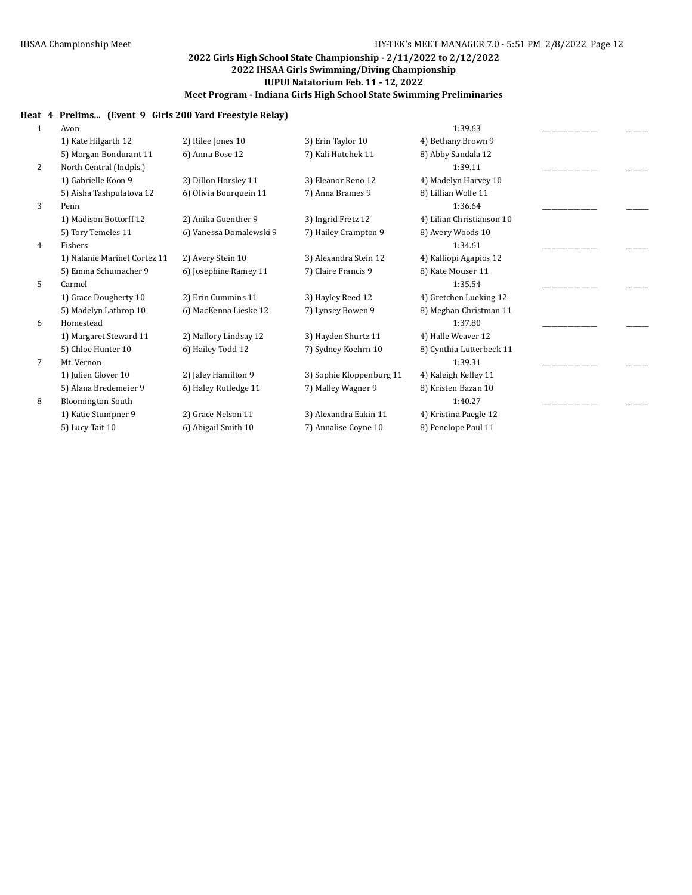## **Heat 4 Prelims... (Event 9 Girls 200 Yard Freestyle Relay)**

| 1              | Avon                         |                         |                          | 1:39.63                   |  |
|----------------|------------------------------|-------------------------|--------------------------|---------------------------|--|
|                | 1) Kate Hilgarth 12          | 2) Rilee Jones 10       | 3) Erin Taylor 10        | 4) Bethany Brown 9        |  |
|                | 5) Morgan Bondurant 11       | 6) Anna Bose 12         | 7) Kali Hutchek 11       | 8) Abby Sandala 12        |  |
| 2              | North Central (Indpls.)      |                         |                          | 1:39.11                   |  |
|                | 1) Gabrielle Koon 9          | 2) Dillon Horsley 11    | 3) Eleanor Reno 12       | 4) Madelyn Harvey 10      |  |
|                | 5) Aisha Tashpulatova 12     | 6) Olivia Bourquein 11  | 7) Anna Brames 9         | 8) Lillian Wolfe 11       |  |
| 3              | Penn                         |                         |                          | 1:36.64                   |  |
|                | 1) Madison Bottorff 12       | 2) Anika Guenther 9     | 3) Ingrid Fretz 12       | 4) Lilian Christianson 10 |  |
|                | 5) Tory Temeles 11           | 6) Vanessa Domalewski 9 | 7) Hailey Crampton 9     | 8) Avery Woods 10         |  |
| 4              | Fishers                      |                         |                          | 1:34.61                   |  |
|                | 1) Nalanie Marinel Cortez 11 | 2) Avery Stein 10       | 3) Alexandra Stein 12    | 4) Kalliopi Agapios 12    |  |
|                | 5) Emma Schumacher 9         | 6) Josephine Ramey 11   | 7) Claire Francis 9      | 8) Kate Mouser 11         |  |
| 5              | Carmel                       |                         |                          | 1:35.54                   |  |
|                | 1) Grace Dougherty 10        | 2) Erin Cummins 11      | 3) Hayley Reed 12        | 4) Gretchen Lueking 12    |  |
|                | 5) Madelyn Lathrop 10        | 6) MacKenna Lieske 12   | 7) Lynsey Bowen 9        | 8) Meghan Christman 11    |  |
| 6              | Homestead                    |                         |                          | 1:37.80                   |  |
|                | 1) Margaret Steward 11       | 2) Mallory Lindsay 12   | 3) Hayden Shurtz 11      | 4) Halle Weaver 12        |  |
|                | 5) Chloe Hunter 10           | 6) Hailey Todd 12       | 7) Sydney Koehrn 10      | 8) Cynthia Lutterbeck 11  |  |
| $\overline{7}$ | Mt. Vernon                   |                         |                          | 1:39.31                   |  |
|                | 1) Julien Glover 10          | 2) Jaley Hamilton 9     | 3) Sophie Kloppenburg 11 | 4) Kaleigh Kelley 11      |  |
|                | 5) Alana Bredemeier 9        | 6) Haley Rutledge 11    | 7) Malley Wagner 9       | 8) Kristen Bazan 10       |  |
| 8              | <b>Bloomington South</b>     |                         |                          | 1:40.27                   |  |
|                | 1) Katie Stumpner 9          | 2) Grace Nelson 11      | 3) Alexandra Eakin 11    | 4) Kristina Paegle 12     |  |
|                | 5) Lucy Tait 10              | 6) Abigail Smith 10     | 7) Annalise Coyne 10     | 8) Penelope Paul 11       |  |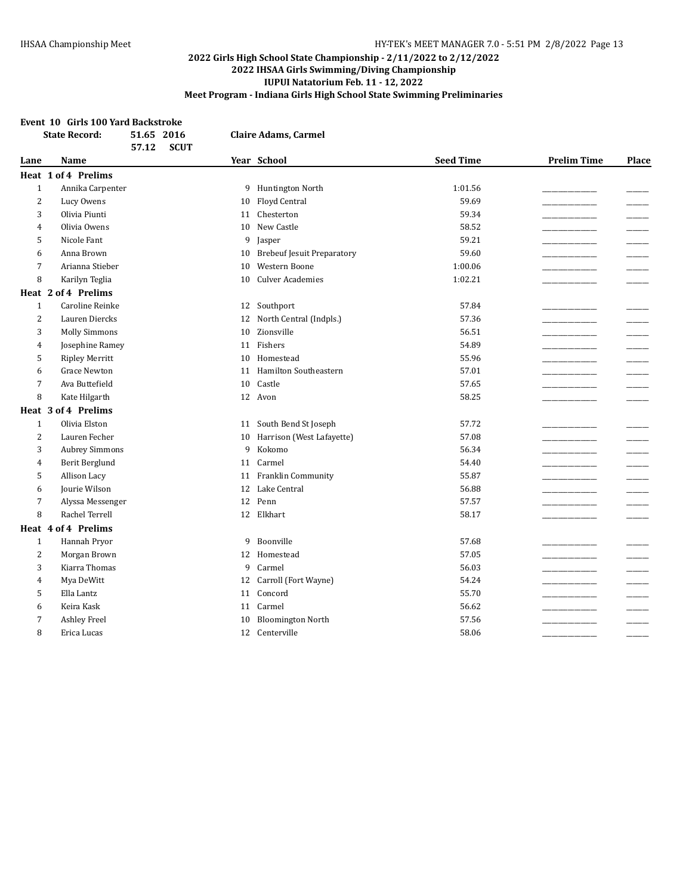#### **Event 10 Girls 100 Yard Backstroke**

|                | <b>State Record:</b>  | 51.65 2016<br>57.12<br><b>SCUT</b> |    | <b>Claire Adams, Carmel</b>       |                  |                    |       |
|----------------|-----------------------|------------------------------------|----|-----------------------------------|------------------|--------------------|-------|
| Lane           | <b>Name</b>           |                                    |    | Year School                       | <b>Seed Time</b> | <b>Prelim Time</b> | Place |
|                | Heat 1 of 4 Prelims   |                                    |    |                                   |                  |                    |       |
| $\mathbf{1}$   | Annika Carpenter      |                                    | 9  | Huntington North                  | 1:01.56          |                    |       |
| 2              | Lucy Owens            |                                    | 10 | Floyd Central                     | 59.69            |                    |       |
| 3              | Olivia Piunti         |                                    | 11 | Chesterton                        | 59.34            |                    |       |
| 4              | Olivia Owens          |                                    | 10 | New Castle                        | 58.52            |                    |       |
| 5              | Nicole Fant           |                                    | 9  | Jasper                            | 59.21            |                    |       |
| 6              | Anna Brown            |                                    | 10 | <b>Brebeuf Jesuit Preparatory</b> | 59.60            |                    |       |
| 7              | Arianna Stieber       |                                    | 10 | Western Boone                     | 1:00.06          |                    |       |
| 8              | Karilyn Teglia        |                                    | 10 | <b>Culver Academies</b>           | 1:02.21          |                    |       |
|                | Heat 2 of 4 Prelims   |                                    |    |                                   |                  |                    |       |
| $\mathbf{1}$   | Caroline Reinke       |                                    |    | 12 Southport                      | 57.84            |                    |       |
| $\overline{2}$ | Lauren Diercks        |                                    | 12 | North Central (Indpls.)           | 57.36            |                    |       |
| 3              | <b>Molly Simmons</b>  |                                    | 10 | Zionsville                        | 56.51            |                    |       |
| 4              | Josephine Ramey       |                                    | 11 | Fishers                           | 54.89            |                    |       |
| 5              | <b>Ripley Merritt</b> |                                    | 10 | Homestead                         | 55.96            |                    |       |
| 6              | <b>Grace Newton</b>   |                                    | 11 | Hamilton Southeastern             | 57.01            |                    |       |
| 7              | Ava Buttefield        |                                    | 10 | $\mbox{Castle}$                   | 57.65            |                    |       |
| 8              | Kate Hilgarth         |                                    | 12 | Avon                              | 58.25            |                    |       |
|                | Heat 3 of 4 Prelims   |                                    |    |                                   |                  |                    |       |
| $\mathbf{1}$   | Olivia Elston         |                                    | 11 | South Bend St Joseph              | 57.72            |                    |       |
| $\overline{2}$ | Lauren Fecher         |                                    | 10 | Harrison (West Lafayette)         | 57.08            |                    |       |
| 3              | <b>Aubrey Simmons</b> |                                    | 9  | Kokomo                            | 56.34            |                    |       |
| 4              | Berit Berglund        |                                    | 11 | Carmel                            | 54.40            |                    |       |
| 5              | Allison Lacy          |                                    | 11 | Franklin Community                | 55.87            |                    |       |
| 6              | Jourie Wilson         |                                    | 12 | Lake Central                      | 56.88            |                    |       |
| 7              | Alyssa Messenger      |                                    | 12 | Penn                              | 57.57            |                    |       |
| 8              | Rachel Terrell        |                                    | 12 | Elkhart                           | 58.17            |                    |       |
|                | Heat 4 of 4 Prelims   |                                    |    |                                   |                  |                    |       |
| $\mathbf{1}$   | Hannah Pryor          |                                    | 9  | Boonville                         | 57.68            |                    |       |
| 2              | Morgan Brown          |                                    | 12 | Homestead                         | 57.05            |                    |       |
| 3              | Kiarra Thomas         |                                    | 9  | Carmel                            | 56.03            |                    |       |
| 4              | Mya DeWitt            |                                    | 12 | Carroll (Fort Wayne)              | 54.24            |                    |       |
| 5              | Ella Lantz            |                                    | 11 | Concord                           | 55.70            |                    | ---   |
| 6              | Keira Kask            |                                    | 11 | Carmel                            | 56.62            |                    |       |
| 7              | <b>Ashley Freel</b>   |                                    | 10 | <b>Bloomington North</b>          | 57.56            |                    |       |
| 8              | Erica Lucas           |                                    | 12 | Centerville                       | 58.06            |                    |       |
|                |                       |                                    |    |                                   |                  |                    |       |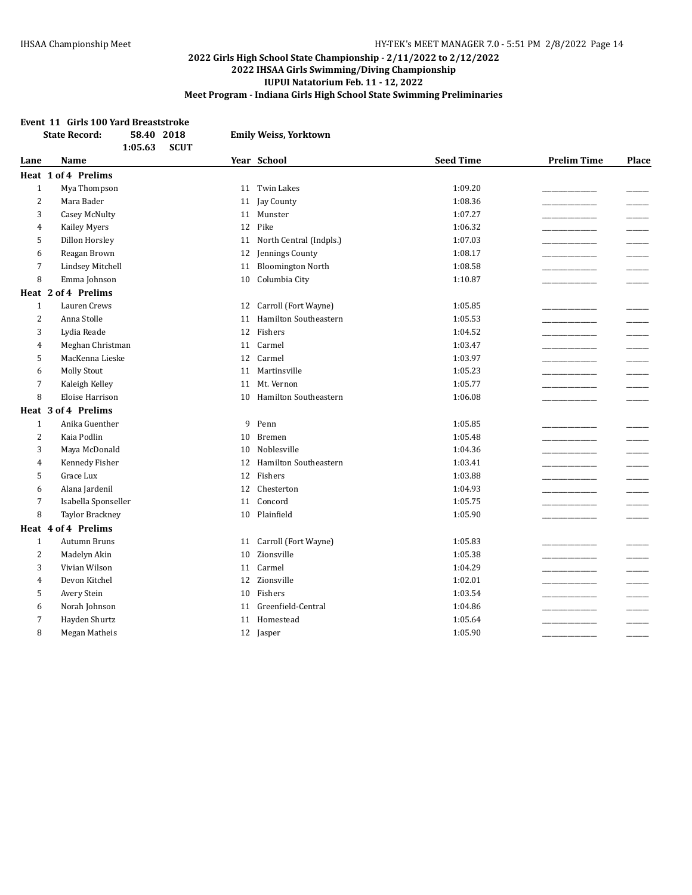#### **Event 11 Girls 100 Yard Breaststroke**

|                | 58.40 2018<br><b>State Record:</b><br><b>SCUT</b><br>1:05.63 |    | <b>Emily Weiss, Yorktown</b> |                  |                    |                          |
|----------------|--------------------------------------------------------------|----|------------------------------|------------------|--------------------|--------------------------|
| Lane           | <b>Name</b>                                                  |    | Year School                  | <b>Seed Time</b> | <b>Prelim Time</b> | Place                    |
|                | Heat 1 of 4 Prelims                                          |    |                              |                  |                    |                          |
| $1\,$          | Mya Thompson                                                 |    | 11 Twin Lakes                | 1:09.20          |                    |                          |
| 2              | Mara Bader                                                   |    | 11 Jay County                | 1:08.36          |                    |                          |
| 3              | Casey McNulty                                                |    | 11 Munster                   | 1:07.27          |                    |                          |
| $\overline{4}$ | Kailey Myers                                                 |    | 12 Pike                      | 1:06.32          |                    |                          |
| 5              | Dillon Horsley                                               | 11 | North Central (Indpls.)      | 1:07.03          |                    | $\overline{\phantom{a}}$ |
| 6              | Reagan Brown                                                 | 12 | Jennings County              | 1:08.17          |                    |                          |
| 7              | <b>Lindsey Mitchell</b>                                      | 11 | <b>Bloomington North</b>     | 1:08.58          |                    |                          |
| 8              | Emma Johnson                                                 | 10 | Columbia City                | 1:10.87          |                    |                          |
|                | Heat 2 of 4 Prelims                                          |    |                              |                  |                    |                          |
| $\mathbf{1}$   | Lauren Crews                                                 | 12 | Carroll (Fort Wayne)         | 1:05.85          |                    |                          |
| 2              | Anna Stolle                                                  | 11 | <b>Hamilton Southeastern</b> | 1:05.53          |                    |                          |
| 3              | Lydia Reade                                                  |    | 12 Fishers                   | 1:04.52          |                    |                          |
| $\overline{4}$ | Meghan Christman                                             | 11 | Carmel                       | 1:03.47          |                    |                          |
| 5              | MacKenna Lieske                                              | 12 | Carmel                       | 1:03.97          |                    |                          |
| 6              | <b>Molly Stout</b>                                           | 11 | Martinsville                 | 1:05.23          |                    |                          |
| 7              | Kaleigh Kelley                                               | 11 | Mt. Vernon                   | 1:05.77          |                    |                          |
| 8              | <b>Eloise Harrison</b>                                       | 10 | Hamilton Southeastern        | 1:06.08          |                    |                          |
|                | Heat 3 of 4 Prelims                                          |    |                              |                  |                    |                          |
| $\mathbf{1}$   | Anika Guenther                                               | 9  | Penn                         | 1:05.85          |                    |                          |
| 2              | Kaia Podlin                                                  | 10 | Bremen                       | 1:05.48          |                    |                          |
| 3              | Maya McDonald                                                | 10 | Noblesville                  | 1:04.36          |                    |                          |
| $\overline{4}$ | Kennedy Fisher                                               |    | 12 Hamilton Southeastern     | 1:03.41          |                    |                          |
| 5              | Grace Lux                                                    |    | 12 Fishers                   | 1:03.88          |                    |                          |
| 6              | Alana Jardenil                                               | 12 | Chesterton                   | 1:04.93          |                    |                          |
| 7              | Isabella Sponseller                                          | 11 | Concord                      | 1:05.75          |                    |                          |
| 8              | <b>Taylor Brackney</b>                                       | 10 | Plainfield                   | 1:05.90          |                    |                          |
|                | Heat 4 of 4 Prelims                                          |    |                              |                  |                    |                          |
| $\mathbf{1}$   | <b>Autumn Bruns</b>                                          | 11 | Carroll (Fort Wayne)         | 1:05.83          |                    |                          |
| 2              | Madelyn Akin                                                 | 10 | Zionsville                   | 1:05.38          |                    |                          |
| 3              | Vivian Wilson                                                | 11 | Carmel                       | 1:04.29          |                    |                          |
| 4              | Devon Kitchel                                                | 12 | Zionsville                   | 1:02.01          |                    |                          |
| 5              | Avery Stein                                                  | 10 | Fishers                      | 1:03.54          |                    |                          |
| 6              | Norah Johnson                                                | 11 | Greenfield-Central           | 1:04.86          |                    |                          |
| 7              | Hayden Shurtz                                                | 11 | Homestead                    | 1:05.64          |                    |                          |
| 8              | Megan Matheis                                                |    | 12 Jasper                    | 1:05.90          |                    |                          |
|                |                                                              |    |                              |                  |                    |                          |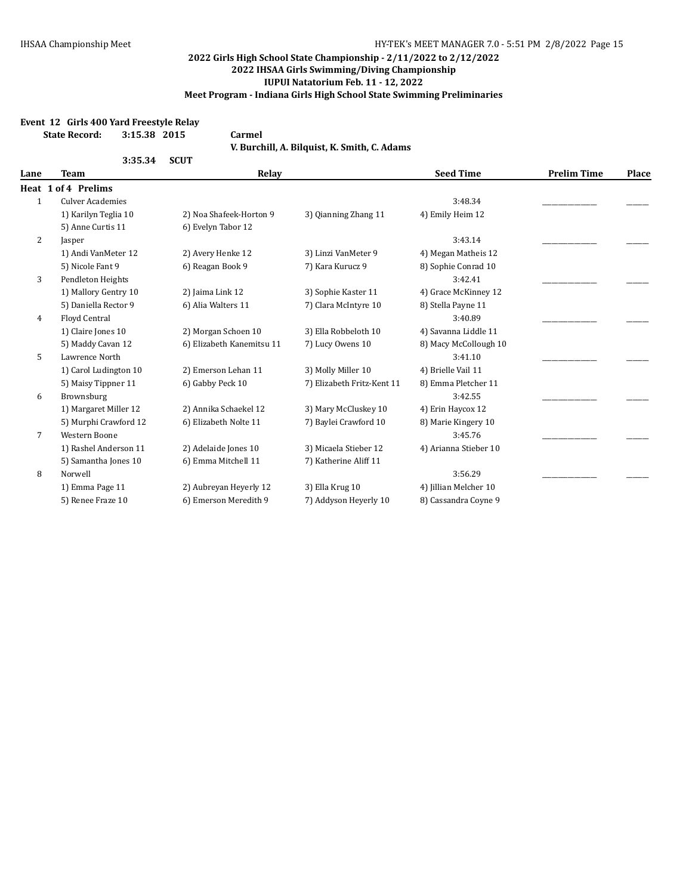#### **Event 12 Girls 400 Yard Freestyle Relay**

**State Record: 3:15.38 2015 Carmel**

**V. Burchill, A. Bilquist, K. Smith, C. Adams**

|              | 3:35.34                 | <b>SCUT</b>               |                            |                       |                    |       |
|--------------|-------------------------|---------------------------|----------------------------|-----------------------|--------------------|-------|
| Lane         | <b>Team</b>             | Relay                     |                            | <b>Seed Time</b>      | <b>Prelim Time</b> | Place |
|              | Heat 1 of 4 Prelims     |                           |                            |                       |                    |       |
| $\mathbf{1}$ | <b>Culver Academies</b> |                           |                            | 3:48.34               |                    |       |
|              | 1) Karilyn Teglia 10    | 2) Noa Shafeek-Horton 9   | 3) Qianning Zhang 11       | 4) Emily Heim 12      |                    |       |
|              | 5) Anne Curtis 11       | 6) Evelyn Tabor 12        |                            |                       |                    |       |
| 2            | Jasper                  |                           |                            | 3:43.14               |                    |       |
|              | 1) Andi VanMeter 12     | 2) Avery Henke 12         | 3) Linzi VanMeter 9        | 4) Megan Matheis 12   |                    |       |
|              | 5) Nicole Fant 9        | 6) Reagan Book 9          | 7) Kara Kurucz 9           | 8) Sophie Conrad 10   |                    |       |
| 3            | Pendleton Heights       |                           |                            | 3:42.41               |                    |       |
|              | 1) Mallory Gentry 10    | 2) Jaima Link 12          | 3) Sophie Kaster 11        | 4) Grace McKinney 12  |                    |       |
|              | 5) Daniella Rector 9    | 6) Alia Walters 11        | 7) Clara McIntyre 10       | 8) Stella Payne 11    |                    |       |
| 4            | Floyd Central           |                           |                            | 3:40.89               |                    |       |
|              | 1) Claire Jones 10      | 2) Morgan Schoen 10       | 3) Ella Robbeloth 10       | 4) Savanna Liddle 11  |                    |       |
|              | 5) Maddy Cavan 12       | 6) Elizabeth Kanemitsu 11 | 7) Lucy Owens 10           | 8) Macy McCollough 10 |                    |       |
| 5            | Lawrence North          |                           |                            | 3:41.10               |                    |       |
|              | 1) Carol Ludington 10   | 2) Emerson Lehan 11       | 3) Molly Miller 10         | 4) Brielle Vail 11    |                    |       |
|              | 5) Maisy Tippner 11     | 6) Gabby Peck 10          | 7) Elizabeth Fritz-Kent 11 | 8) Emma Pletcher 11   |                    |       |
| 6            | Brownsburg              |                           |                            | 3:42.55               |                    |       |
|              | 1) Margaret Miller 12   | 2) Annika Schaekel 12     | 3) Mary McCluskey 10       | 4) Erin Haycox 12     |                    |       |
|              | 5) Murphi Crawford 12   | 6) Elizabeth Nolte 11     | 7) Baylei Crawford 10      | 8) Marie Kingery 10   |                    |       |
| 7            | Western Boone           |                           |                            | 3:45.76               |                    |       |
|              | 1) Rashel Anderson 11   | 2) Adelaide Jones 10      | 3) Micaela Stieber 12      | 4) Arianna Stieber 10 |                    |       |
|              | 5) Samantha Jones 10    | 6) Emma Mitchell 11       | 7) Katherine Aliff 11      |                       |                    |       |
| 8            | Norwell                 |                           |                            | 3:56.29               |                    |       |
|              | 1) Emma Page 11         | 2) Aubreyan Heyerly 12    | 3) Ella Krug 10            | 4) Jillian Melcher 10 |                    |       |
|              | 5) Renee Fraze 10       | 6) Emerson Meredith 9     | 7) Addyson Heyerly 10      | 8) Cassandra Coyne 9  |                    |       |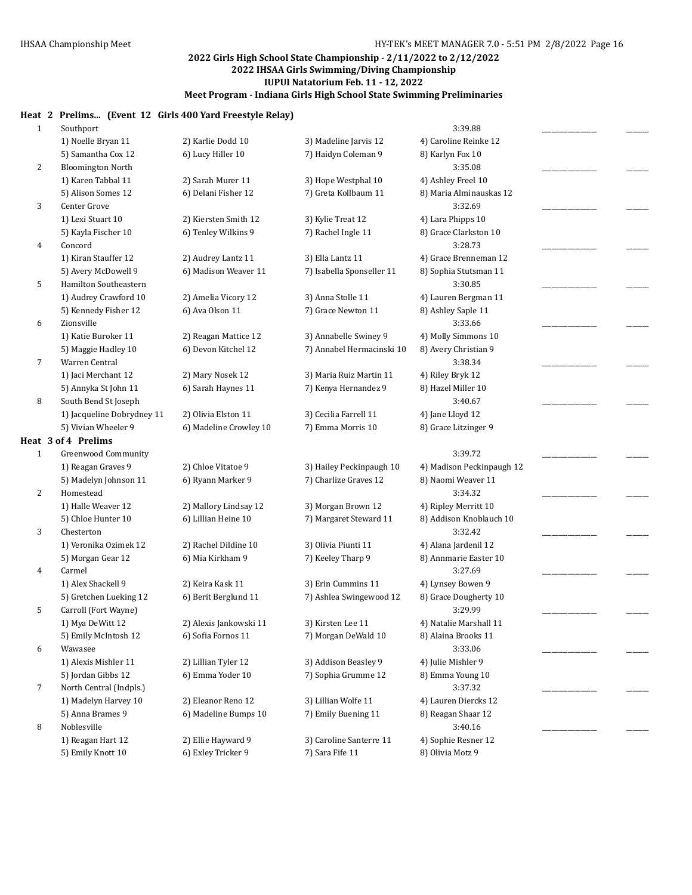# **Heat 2 Prelims... (Event 12 Girls 400 Yard Freestyle Relay)**

|              |                                          | Trends (Event 12 unis 700 faru freestyle Kelay) |                           |                                |  |
|--------------|------------------------------------------|-------------------------------------------------|---------------------------|--------------------------------|--|
| $\mathbf{1}$ | Southport                                |                                                 |                           | 3:39.88                        |  |
|              | 1) Noelle Bryan 11                       | 2) Karlie Dodd 10                               | 3) Madeline Jarvis 12     | 4) Caroline Reinke 12          |  |
|              | 5) Samantha Cox 12                       | 6) Lucy Hiller 10                               | 7) Haidyn Coleman 9       | 8) Karlyn Fox 10               |  |
| 2            | <b>Bloomington North</b>                 |                                                 |                           | 3:35.08                        |  |
|              | 1) Karen Tabbal 11                       | 2) Sarah Murer 11                               | 3) Hope Westphal 10       | 4) Ashley Freel 10             |  |
|              | 5) Alison Somes 12                       | 6) Delani Fisher 12                             | 7) Greta Kollbaum 11      | 8) Maria Alminauskas 12        |  |
| 3            | Center Grove                             |                                                 |                           | 3:32.69                        |  |
|              | 1) Lexi Stuart 10                        | 2) Kiersten Smith 12                            | 3) Kylie Treat 12         | 4) Lara Phipps 10              |  |
|              | 5) Kayla Fischer 10                      | 6) Tenley Wilkins 9                             | 7) Rachel Ingle 11        | 8) Grace Clarkston 10          |  |
| 4            | Concord                                  |                                                 |                           | 3:28.73                        |  |
|              | 1) Kiran Stauffer 12                     | 2) Audrey Lantz 11                              | 3) Ella Lantz 11          | 4) Grace Brenneman 12          |  |
|              | 5) Avery McDowell 9                      | 6) Madison Weaver 11                            | 7) Isabella Sponseller 11 | 8) Sophia Stutsman 11          |  |
| 5            | Hamilton Southeastern                    |                                                 |                           | 3:30.85                        |  |
|              | 1) Audrey Crawford 10                    | 2) Amelia Vicory 12                             | 3) Anna Stolle 11         | 4) Lauren Bergman 11           |  |
|              | 5) Kennedy Fisher 12                     | 6) Ava Olson 11                                 | 7) Grace Newton 11        | 8) Ashley Saple 11             |  |
| 6            | Zionsville                               |                                                 |                           | 3:33.66                        |  |
|              | 1) Katie Buroker 11                      | 2) Reagan Mattice 12                            | 3) Annabelle Swiney 9     | 4) Molly Simmons 10            |  |
|              | 5) Maggie Hadley 10                      | 6) Devon Kitchel 12                             | 7) Annabel Hermacinski 10 | 8) Avery Christian 9           |  |
| 7            | Warren Central                           |                                                 |                           | 3:38.34                        |  |
|              | 1) Jaci Merchant 12                      | 2) Mary Nosek 12                                | 3) Maria Ruiz Martin 11   | 4) Riley Bryk 12               |  |
|              | 5) Annyka St John 11                     | 6) Sarah Haynes 11                              | 7) Kenya Hernandez 9      | 8) Hazel Miller 10             |  |
| 8            | South Bend St Joseph                     |                                                 |                           | 3:40.67                        |  |
|              | 1) Jacqueline Dobrydney 11               | 2) Olivia Elston 11                             | 3) Cecilia Farrell 11     | 4) Jane Lloyd 12               |  |
|              | 5) Vivian Wheeler 9                      | 6) Madeline Crowley 10                          | 7) Emma Morris 10         | 8) Grace Litzinger 9           |  |
|              | Heat 3 of 4 Prelims                      |                                                 |                           |                                |  |
| $\mathbf{1}$ | Greenwood Community                      |                                                 |                           | 3:39.72                        |  |
|              | 1) Reagan Graves 9                       | 2) Chloe Vitatoe 9                              | 3) Hailey Peckinpaugh 10  | 4) Madison Peckinpaugh 12      |  |
|              | 5) Madelyn Johnson 11                    | 6) Ryann Marker 9                               | 7) Charlize Graves 12     | 8) Naomi Weaver 11             |  |
| 2            | Homestead                                |                                                 |                           | 3:34.32                        |  |
|              | 1) Halle Weaver 12                       | 2) Mallory Lindsay 12                           | 3) Morgan Brown 12        | 4) Ripley Merritt 10           |  |
|              | 5) Chloe Hunter 10                       | 6) Lillian Heine 10                             | 7) Margaret Steward 11    | 8) Addison Knoblauch 10        |  |
| 3            | Chesterton                               |                                                 |                           | 3:32.42                        |  |
|              | 1) Veronika Ozimek 12                    | 2) Rachel Dildine 10                            | 3) Olivia Piunti 11       | 4) Alana Jardenil 12           |  |
|              | 5) Morgan Gear 12                        | 6) Mia Kirkham 9                                | 7) Keeley Tharp 9         | 8) Annmarie Easter 10          |  |
| 4            | Carmel                                   |                                                 |                           | 3:27.69                        |  |
|              | 1) Alex Shackell 9                       | 2) Keira Kask 11                                | 3) Erin Cummins 11        | 4) Lynsey Bowen 9              |  |
|              | 5) Gretchen Lueking 12                   | 6) Berit Berglund 11                            | 7) Ashlea Swingewood 12   | 8) Grace Dougherty 10          |  |
| 5            | Carroll (Fort Wayne)                     |                                                 |                           | 3:29.99                        |  |
|              | 1) Mya DeWitt 12                         | 2) Alexis Jankowski 11                          | 3) Kirsten Lee 11         | 4) Natalie Marshall 11         |  |
| 6            | 5) Emily McIntosh 12                     | 6) Sofia Fornos 11                              | 7) Morgan DeWald 10       | 8) Alaina Brooks 11<br>3:33.06 |  |
|              | Wawasee                                  |                                                 |                           |                                |  |
|              | 1) Alexis Mishler 11                     | 2) Lillian Tyler 12<br>6) Emma Yoder 10         | 3) Addison Beasley 9      | 4) Julie Mishler 9             |  |
|              | 5) Jordan Gibbs 12                       |                                                 | 7) Sophia Grumme 12       | 8) Emma Young 10<br>3:37.32    |  |
| 7            | North Central (Indpls.)                  |                                                 |                           |                                |  |
|              | 1) Madelyn Harvey 10<br>5) Anna Brames 9 | 2) Eleanor Reno 12<br>6) Madeline Bumps 10      | 3) Lillian Wolfe 11       | 4) Lauren Diercks 12           |  |
| 8            | Noblesville                              |                                                 | 7) Emily Buening 11       | 8) Reagan Shaar 12<br>3:40.16  |  |
|              | 1) Reagan Hart 12                        | 2) Ellie Hayward 9                              | 3) Caroline Santerre 11   | 4) Sophie Resner 12            |  |
|              | 5) Emily Knott 10                        | 6) Exley Tricker 9                              | 7) Sara Fife 11           | 8) Olivia Motz 9               |  |
|              |                                          |                                                 |                           |                                |  |